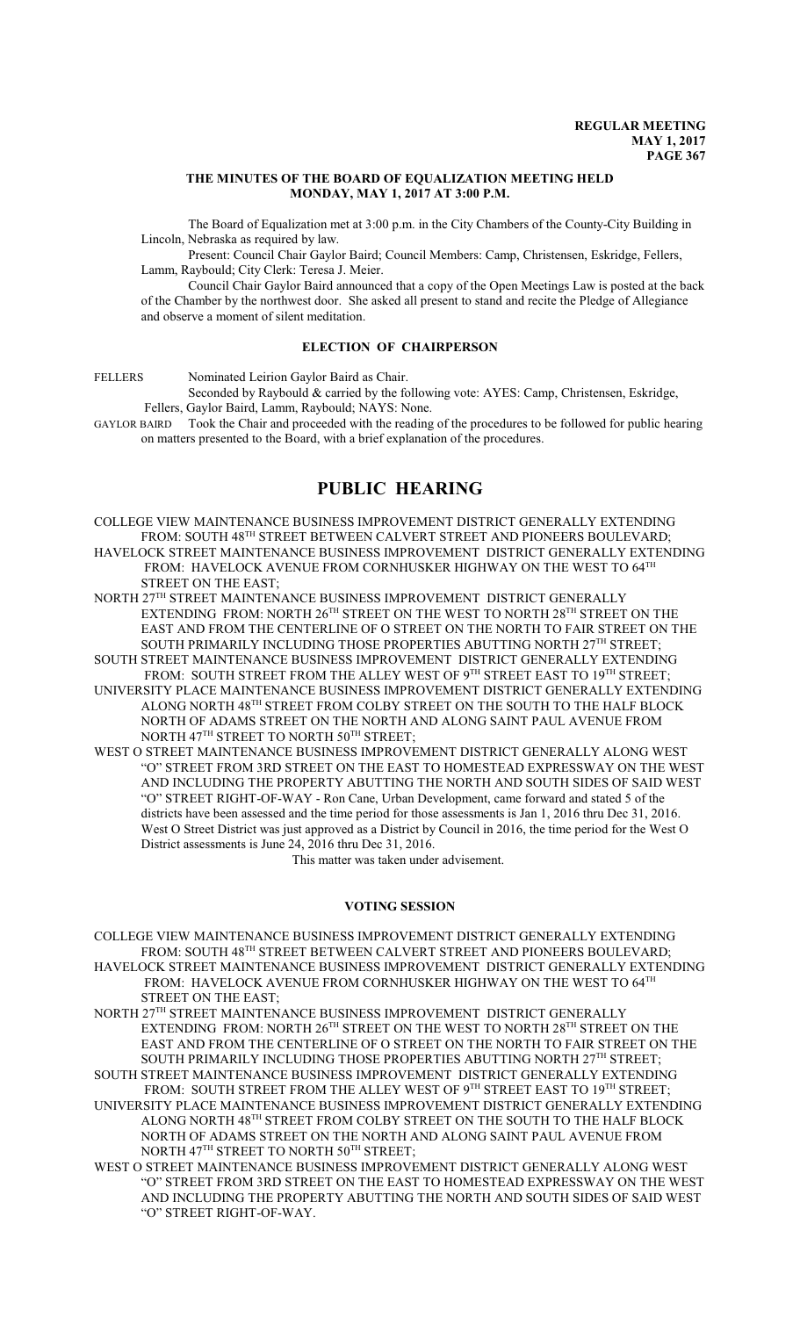#### **THE MINUTES OF THE BOARD OF EQUALIZATION MEETING HELD MONDAY, MAY 1, 2017 AT 3:00 P.M.**

The Board of Equalization met at 3:00 p.m. in the City Chambers of the County-City Building in Lincoln, Nebraska as required by law.

Present: Council Chair Gaylor Baird; Council Members: Camp, Christensen, Eskridge, Fellers, Lamm, Raybould; City Clerk: Teresa J. Meier.

Council Chair Gaylor Baird announced that a copy of the Open Meetings Law is posted at the back of the Chamber by the northwest door. She asked all present to stand and recite the Pledge of Allegiance and observe a moment of silent meditation.

#### **ELECTION OF CHAIRPERSON**

FELLERS Nominated Leirion Gaylor Baird as Chair.

Seconded by Raybould & carried by the following vote: AYES: Camp, Christensen, Eskridge, Fellers, Gaylor Baird, Lamm, Raybould; NAYS: None.

GAYLOR BAIRD Took the Chair and proceeded with the reading of the procedures to be followed for public hearing on matters presented to the Board, with a brief explanation of the procedures.

# **PUBLIC HEARING**

COLLEGE VIEW MAINTENANCE BUSINESS IMPROVEMENT DISTRICT GENERALLY EXTENDING FROM: SOUTH 48<sup>TH</sup> STREET BETWEEN CALVERT STREET AND PIONEERS BOULEVARD; HAVELOCK STREET MAINTENANCE BUSINESS IMPROVEMENT DISTRICT GENERALLY EXTENDING FROM: HAVELOCK AVENUE FROM CORNHUSKER HIGHWAY ON THE WEST TO 64TH STREET ON THE EAST;

NORTH 27 TH STREET MAINTENANCE BUSINESS IMPROVEMENT DISTRICT GENERALLY EXTENDING FROM: NORTH  $26^{\text{\tiny{TH}}}$  STREET ON THE WEST TO NORTH  $28^{\text{\tiny{TH}}}$  STREET ON THE EAST AND FROM THE CENTERLINE OF O STREET ON THE NORTH TO FAIR STREET ON THE SOUTH PRIMARILY INCLUDING THOSE PROPERTIES ABUTTING NORTH 27 $^{\text{\tiny{\text{TH}}}}$  STREET;

SOUTH STREET MAINTENANCE BUSINESS IMPROVEMENT DISTRICT GENERALLY EXTENDING FROM: SOUTH STREET FROM THE ALLEY WEST OF 9TH STREET EAST TO 19TH STREET;

UNIVERSITY PLACE MAINTENANCE BUSINESS IMPROVEMENT DISTRICT GENERALLY EXTENDING ALONG NORTH 48 $^{\text{\tiny{\textsf{TH}}}}$  STREET FROM COLBY STREET ON THE SOUTH TO THE HALF BLOCK NORTH OF ADAMS STREET ON THE NORTH AND ALONG SAINT PAUL AVENUE FROM NORTH 47 $^{\text{\tiny{\textsf{TH}}}}$  STREET TO NORTH 50 $^{\text{\tiny{\textsf{TH}}}}$  STREET;

WEST O STREET MAINTENANCE BUSINESS IMPROVEMENT DISTRICT GENERALLY ALONG WEST "O" STREET FROM 3RD STREET ON THE EAST TO HOMESTEAD EXPRESSWAY ON THE WEST AND INCLUDING THE PROPERTY ABUTTING THE NORTH AND SOUTH SIDES OF SAID WEST "O" STREET RIGHT-OF-WAY - Ron Cane, Urban Development, came forward and stated 5 of the districts have been assessed and the time period for those assessments is Jan 1, 2016 thru Dec 31, 2016. West O Street District was just approved as a District by Council in 2016, the time period for the West O District assessments is June 24, 2016 thru Dec 31, 2016.

This matter was taken under advisement.

#### **VOTING SESSION**

COLLEGE VIEW MAINTENANCE BUSINESS IMPROVEMENT DISTRICT GENERALLY EXTENDING FROM: SOUTH 48<sup>th</sup> STREET BETWEEN CALVERT STREET AND PIONEERS BOULEVARD; HAVELOCK STREET MAINTENANCE BUSINESS IMPROVEMENT DISTRICT GENERALLY EXTENDING FROM: HAVELOCK AVENUE FROM CORNHUSKER HIGHWAY ON THE WEST TO 64TH STREET ON THE EAST;

NORTH 27TH STREET MAINTENANCE BUSINESS IMPROVEMENT DISTRICT GENERALLY EXTENDING FROM: NORTH  $26^{\rm TH}$  STREET ON THE WEST TO NORTH  $28^{\rm TH}$  STREET ON THE EAST AND FROM THE CENTERLINE OF O STREET ON THE NORTH TO FAIR STREET ON THE SOUTH PRIMARILY INCLUDING THOSE PROPERTIES ABUTTING NORTH  $27^{\rm{TH}}$  STREET; SOUTH STREET MAINTENANCE BUSINESS IMPROVEMENT DISTRICT GENERALLY EXTENDING

FROM: SOUTH STREET FROM THE ALLEY WEST OF 9TH STREET EAST TO 19TH STREET;

UNIVERSITY PLACE MAINTENANCE BUSINESS IMPROVEMENT DISTRICT GENERALLY EXTENDING ALONG NORTH 48 $^{\text{\tiny{\textsf{TH}}}}$  STREET FROM COLBY STREET ON THE SOUTH TO THE HALF BLOCK NORTH OF ADAMS STREET ON THE NORTH AND ALONG SAINT PAUL AVENUE FROM NORTH 47 $^{\text{\tiny{\textsf{TH}}}}$  STREET TO NORTH 50 $^{\text{\tiny{\textsf{TH}}}}$  STREET;

WEST O STREET MAINTENANCE BUSINESS IMPROVEMENT DISTRICT GENERALLY ALONG WEST "O" STREET FROM 3RD STREET ON THE EAST TO HOMESTEAD EXPRESSWAY ON THE WEST AND INCLUDING THE PROPERTY ABUTTING THE NORTH AND SOUTH SIDES OF SAID WEST "O" STREET RIGHT-OF-WAY.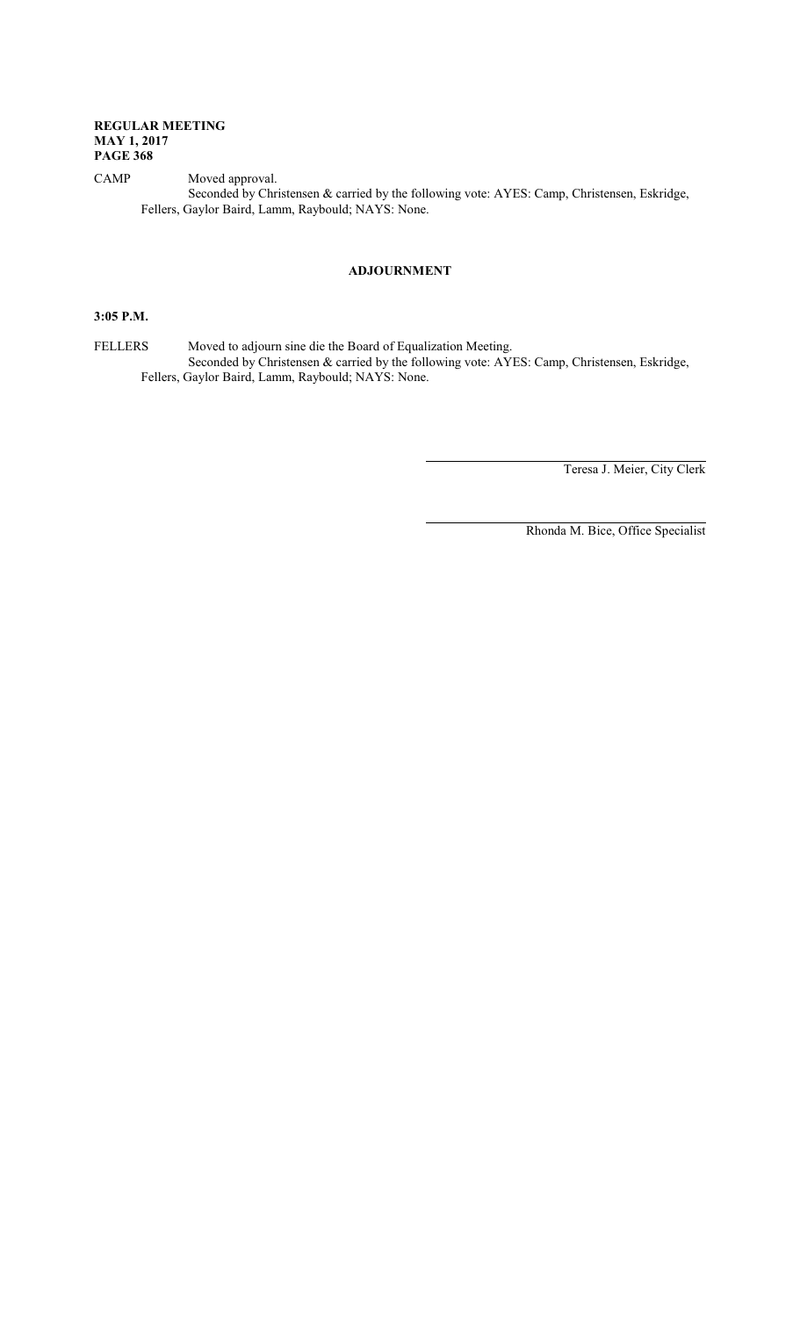CAMP Moved approval. Seconded by Christensen & carried by the following vote: AYES: Camp, Christensen, Eskridge, Fellers, Gaylor Baird, Lamm, Raybould; NAYS: None.

## **ADJOURNMENT**

## **3:05 P.M.**

FELLERS Moved to adjourn sine die the Board of Equalization Meeting. Seconded by Christensen & carried by the following vote: AYES: Camp, Christensen, Eskridge, Fellers, Gaylor Baird, Lamm, Raybould; NAYS: None.

Teresa J. Meier, City Clerk

Rhonda M. Bice, Office Specialist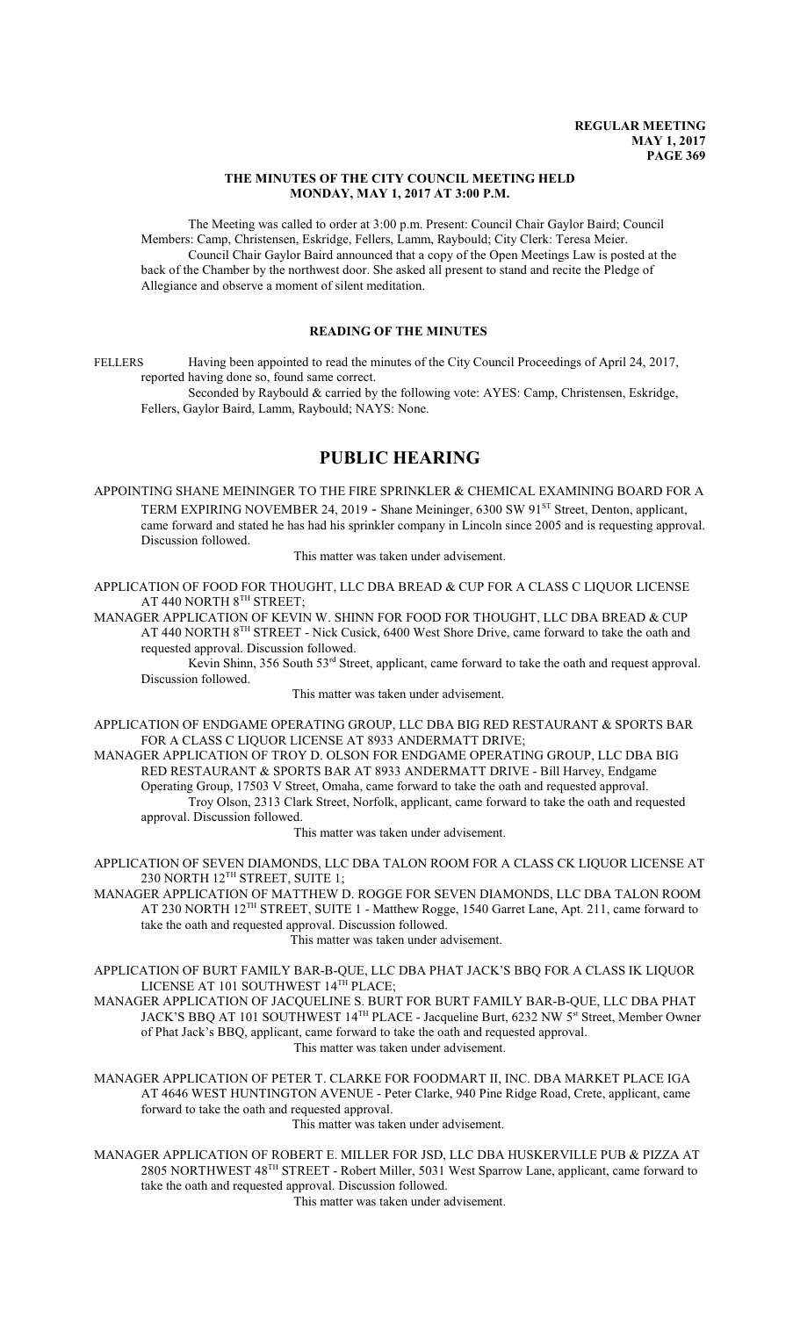#### **THE MINUTES OF THE CITY COUNCIL MEETING HELD MONDAY, MAY 1, 2017 AT 3:00 P.M.**

The Meeting was called to order at 3:00 p.m. Present: Council Chair Gaylor Baird; Council Members: Camp, Christensen, Eskridge, Fellers, Lamm, Raybould; City Clerk: Teresa Meier. Council Chair Gaylor Baird announced that a copy of the Open Meetings Law is posted at the back of the Chamber by the northwest door. She asked all present to stand and recite the Pledge of Allegiance and observe a moment of silent meditation.

## **READING OF THE MINUTES**

FELLERS Having been appointed to read the minutes of the City Council Proceedings of April 24, 2017, reported having done so, found same correct.

Seconded by Raybould & carried by the following vote: AYES: Camp, Christensen, Eskridge, Fellers, Gaylor Baird, Lamm, Raybould; NAYS: None.

## **PUBLIC HEARING**

APPOINTING SHANE MEININGER TO THE FIRE SPRINKLER & CHEMICAL EXAMINING BOARD FOR A TERM EXPIRING NOVEMBER 24, 2019 - Shane Meininger, 6300 SW 91<sup>st</sup> Street, Denton, applicant, came forward and stated he has had his sprinkler company in Lincoln since 2005 and is requesting approval. Discussion followed.

This matter was taken under advisement.

APPLICATION OF FOOD FOR THOUGHT, LLC DBA BREAD & CUP FOR A CLASS C LIQUOR LICENSE AT 440 NORTH  $8^{\text{\tiny{TH}}}$  STREET;

MANAGER APPLICATION OF KEVIN W. SHINN FOR FOOD FOR THOUGHT, LLC DBA BREAD & CUP AT 440 NORTH 8<sup>TH</sup> STREET - Nick Cusick, 6400 West Shore Drive, came forward to take the oath and requested approval. Discussion followed.

Kevin Shinn, 356 South 53<sup>rd</sup> Street, applicant, came forward to take the oath and request approval. Discussion followed.

This matter was taken under advisement.

APPLICATION OF ENDGAME OPERATING GROUP, LLC DBA BIG RED RESTAURANT & SPORTS BAR FOR A CLASS C LIQUOR LICENSE AT 8933 ANDERMATT DRIVE;

MANAGER APPLICATION OF TROY D. OLSON FOR ENDGAME OPERATING GROUP, LLC DBA BIG RED RESTAURANT & SPORTS BAR AT 8933 ANDERMATT DRIVE - Bill Harvey, Endgame Operating Group, 17503 V Street, Omaha, came forward to take the oath and requested approval. Troy Olson, 2313 Clark Street, Norfolk, applicant, came forward to take the oath and requested approval. Discussion followed.

This matter was taken under advisement.

APPLICATION OF SEVEN DIAMONDS, LLC DBA TALON ROOM FOR A CLASS CK LIQUOR LICENSE AT 230 NORTH 12 TH STREET, SUITE 1;

MANAGER APPLICATION OF MATTHEW D. ROGGE FOR SEVEN DIAMONDS, LLC DBA TALON ROOM AT 230 NORTH 12<sup>TH</sup> STREET, SUITE 1 - Matthew Rogge, 1540 Garret Lane, Apt. 211, came forward to take the oath and requested approval. Discussion followed.

This matter was taken under advisement.

APPLICATION OF BURT FAMILY BAR-B-QUE, LLC DBA PHAT JACK'S BBQ FOR A CLASS IK LIQUOR LICENSE AT 101 SOUTHWEST 14™ PLACE;

MANAGER APPLICATION OF JACQUELINE S. BURT FOR BURT FAMILY BAR-B-QUE, LLC DBA PHAT JACK'S BBQ AT 101 SOUTHWEST 14<sup>TH</sup> PLACE - Jacqueline Burt, 6232 NW 5<sup>st</sup> Street, Member Owner of Phat Jack's BBQ, applicant, came forward to take the oath and requested approval. This matter was taken under advisement.

MANAGER APPLICATION OF PETER T. CLARKE FOR FOODMART II, INC. DBA MARKET PLACE IGA AT 4646 WEST HUNTINGTON AVENUE - Peter Clarke, 940 Pine Ridge Road, Crete, applicant, came forward to take the oath and requested approval. This matter was taken under advisement.

MANAGER APPLICATION OF ROBERT E. MILLER FOR JSD, LLC DBA HUSKERVILLE PUB & PIZZA AT 2805 NORTHWEST 48<sup>TH</sup> STREET - Robert Miller, 5031 West Sparrow Lane, applicant, came forward to take the oath and requested approval. Discussion followed.

This matter was taken under advisement.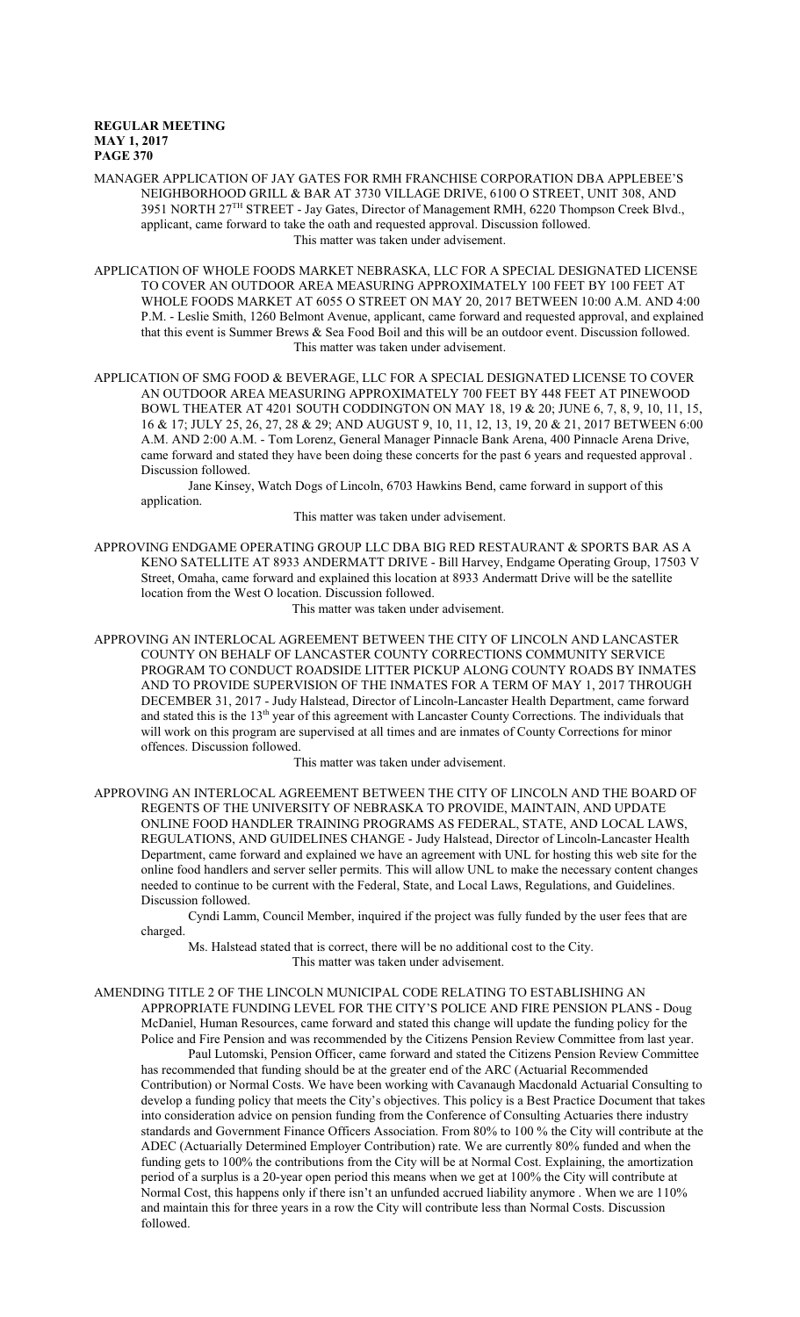MANAGER APPLICATION OF JAY GATES FOR RMH FRANCHISE CORPORATION DBA APPLEBEE'S NEIGHBORHOOD GRILL & BAR AT 3730 VILLAGE DRIVE, 6100 O STREET, UNIT 308, AND 3951 NORTH 27<sup>TH</sup> STREET - Jay Gates, Director of Management RMH, 6220 Thompson Creek Blvd., applicant, came forward to take the oath and requested approval. Discussion followed. This matter was taken under advisement.

APPLICATION OF WHOLE FOODS MARKET NEBRASKA, LLC FOR A SPECIAL DESIGNATED LICENSE TO COVER AN OUTDOOR AREA MEASURING APPROXIMATELY 100 FEET BY 100 FEET AT WHOLE FOODS MARKET AT 6055 O STREET ON MAY 20, 2017 BETWEEN 10:00 A.M. AND 4:00 P.M. - Leslie Smith, 1260 Belmont Avenue, applicant, came forward and requested approval, and explained that this event is Summer Brews & Sea Food Boil and this will be an outdoor event. Discussion followed. This matter was taken under advisement.

APPLICATION OF SMG FOOD & BEVERAGE, LLC FOR A SPECIAL DESIGNATED LICENSE TO COVER AN OUTDOOR AREA MEASURING APPROXIMATELY 700 FEET BY 448 FEET AT PINEWOOD BOWL THEATER AT 4201 SOUTH CODDINGTON ON MAY 18, 19 & 20; JUNE 6, 7, 8, 9, 10, 11, 15, 16 & 17; JULY 25, 26, 27, 28 & 29; AND AUGUST 9, 10, 11, 12, 13, 19, 20 & 21, 2017 BETWEEN 6:00 A.M. AND 2:00 A.M. - Tom Lorenz, General Manager Pinnacle Bank Arena, 400 Pinnacle Arena Drive, came forward and stated they have been doing these concerts for the past 6 years and requested approval . Discussion followed.

Jane Kinsey, Watch Dogs of Lincoln, 6703 Hawkins Bend, came forward in support of this application.

This matter was taken under advisement.

APPROVING ENDGAME OPERATING GROUP LLC DBA BIG RED RESTAURANT & SPORTS BAR AS A KENO SATELLITE AT 8933 ANDERMATT DRIVE - Bill Harvey, Endgame Operating Group, 17503 V Street, Omaha, came forward and explained this location at 8933 Andermatt Drive will be the satellite location from the West O location. Discussion followed.

This matter was taken under advisement.

APPROVING AN INTERLOCAL AGREEMENT BETWEEN THE CITY OF LINCOLN AND LANCASTER COUNTY ON BEHALF OF LANCASTER COUNTY CORRECTIONS COMMUNITY SERVICE PROGRAM TO CONDUCT ROADSIDE LITTER PICKUP ALONG COUNTY ROADS BY INMATES AND TO PROVIDE SUPERVISION OF THE INMATES FOR A TERM OF MAY 1, 2017 THROUGH DECEMBER 31, 2017 - Judy Halstead, Director of Lincoln-Lancaster Health Department, came forward and stated this is the 13<sup>th</sup> year of this agreement with Lancaster County Corrections. The individuals that will work on this program are supervised at all times and are inmates of County Corrections for minor offences. Discussion followed.

This matter was taken under advisement.

APPROVING AN INTERLOCAL AGREEMENT BETWEEN THE CITY OF LINCOLN AND THE BOARD OF REGENTS OF THE UNIVERSITY OF NEBRASKA TO PROVIDE, MAINTAIN, AND UPDATE ONLINE FOOD HANDLER TRAINING PROGRAMS AS FEDERAL, STATE, AND LOCAL LAWS, REGULATIONS, AND GUIDELINES CHANGE - Judy Halstead, Director of Lincoln-Lancaster Health Department, came forward and explained we have an agreement with UNL for hosting this web site for the online food handlers and server seller permits. This will allow UNL to make the necessary content changes needed to continue to be current with the Federal, State, and Local Laws, Regulations, and Guidelines. Discussion followed.

Cyndi Lamm, Council Member, inquired if the project was fully funded by the user fees that are charged.

Ms. Halstead stated that is correct, there will be no additional cost to the City. This matter was taken under advisement.

#### AMENDING TITLE 2 OF THE LINCOLN MUNICIPAL CODE RELATING TO ESTABLISHING AN

APPROPRIATE FUNDING LEVEL FOR THE CITY'S POLICE AND FIRE PENSION PLANS - Doug McDaniel, Human Resources, came forward and stated this change will update the funding policy for the Police and Fire Pension and was recommended by the Citizens Pension Review Committee from last year.

Paul Lutomski, Pension Officer, came forward and stated the Citizens Pension Review Committee has recommended that funding should be at the greater end of the ARC (Actuarial Recommended Contribution) or Normal Costs. We have been working with Cavanaugh Macdonald Actuarial Consulting to develop a funding policy that meets the City's objectives. This policy is a Best Practice Document that takes into consideration advice on pension funding from the Conference of Consulting Actuaries there industry standards and Government Finance Officers Association. From 80% to 100 % the City will contribute at the ADEC (Actuarially Determined Employer Contribution) rate. We are currently 80% funded and when the funding gets to 100% the contributions from the City will be at Normal Cost. Explaining, the amortization period of a surplus is a 20-year open period this means when we get at 100% the City will contribute at Normal Cost, this happens only if there isn't an unfunded accrued liability anymore . When we are 110% and maintain this for three years in a row the City will contribute less than Normal Costs. Discussion followed.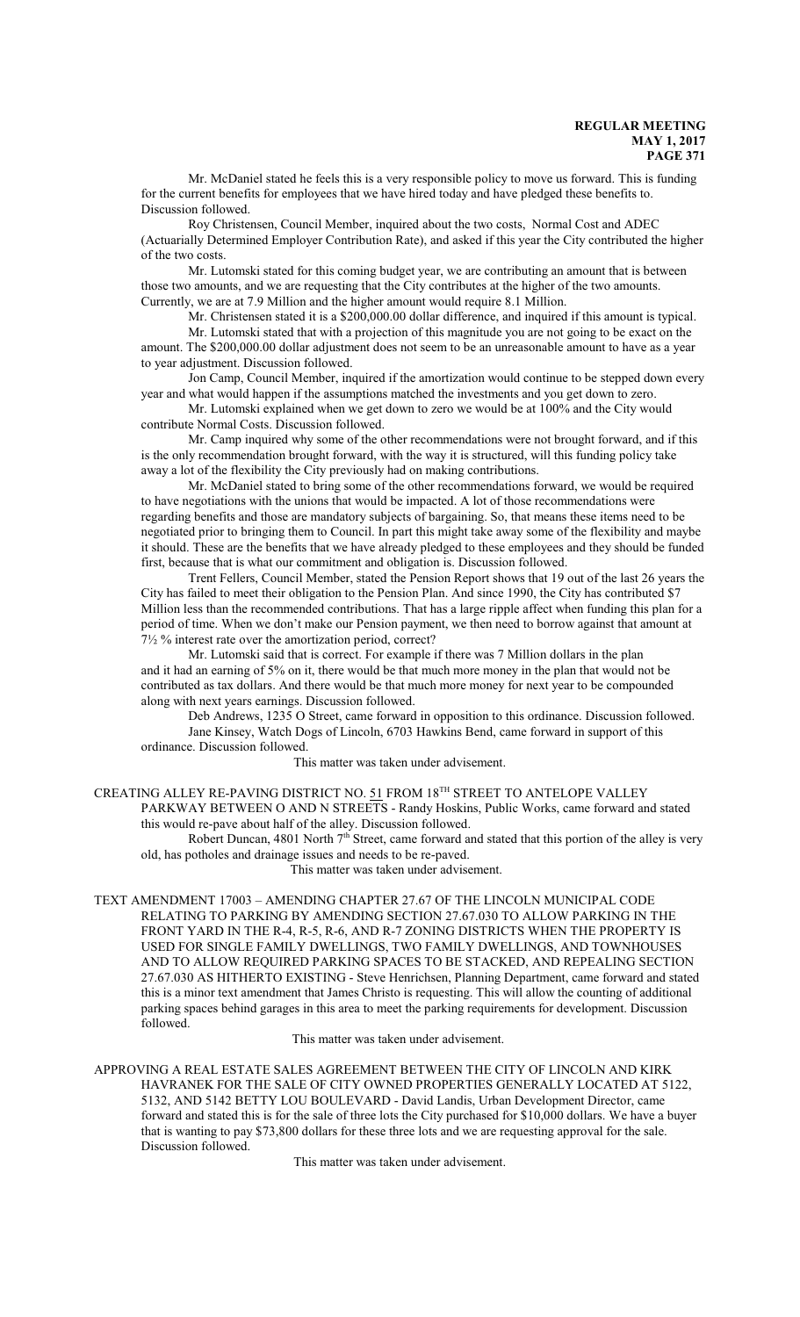Mr. McDaniel stated he feels this is a very responsible policy to move us forward. This is funding for the current benefits for employees that we have hired today and have pledged these benefits to. Discussion followed.

Roy Christensen, Council Member, inquired about the two costs, Normal Cost and ADEC (Actuarially Determined Employer Contribution Rate), and asked if this year the City contributed the higher of the two costs.

Mr. Lutomski stated for this coming budget year, we are contributing an amount that is between those two amounts, and we are requesting that the City contributes at the higher of the two amounts. Currently, we are at 7.9 Million and the higher amount would require 8.1 Million.

Mr. Christensen stated it is a \$200,000.00 dollar difference, and inquired if this amount is typical. Mr. Lutomski stated that with a projection of this magnitude you are not going to be exact on the amount. The \$200,000.00 dollar adjustment does not seem to be an unreasonable amount to have as a year to year adjustment. Discussion followed.

Jon Camp, Council Member, inquired if the amortization would continue to be stepped down every year and what would happen if the assumptions matched the investments and you get down to zero.

Mr. Lutomski explained when we get down to zero we would be at 100% and the City would contribute Normal Costs. Discussion followed.

Mr. Camp inquired why some of the other recommendations were not brought forward, and if this is the only recommendation brought forward, with the way it is structured, will this funding policy take away a lot of the flexibility the City previously had on making contributions.

Mr. McDaniel stated to bring some of the other recommendations forward, we would be required to have negotiations with the unions that would be impacted. A lot of those recommendations were regarding benefits and those are mandatory subjects of bargaining. So, that means these items need to be negotiated prior to bringing them to Council. In part this might take away some of the flexibility and maybe it should. These are the benefits that we have already pledged to these employees and they should be funded first, because that is what our commitment and obligation is. Discussion followed.

Trent Fellers, Council Member, stated the Pension Report shows that 19 out of the last 26 years the City has failed to meet their obligation to the Pension Plan. And since 1990, the City has contributed \$7 Million less than the recommended contributions. That has a large ripple affect when funding this plan for a period of time. When we don't make our Pension payment, we then need to borrow against that amount at 7½ % interest rate over the amortization period, correct?

Mr. Lutomski said that is correct. For example if there was 7 Million dollars in the plan and it had an earning of 5% on it, there would be that much more money in the plan that would not be contributed as tax dollars. And there would be that much more money for next year to be compounded along with next years earnings. Discussion followed.

Deb Andrews, 1235 O Street, came forward in opposition to this ordinance. Discussion followed. Jane Kinsey, Watch Dogs of Lincoln, 6703 Hawkins Bend, came forward in support of this ordinance. Discussion followed.

This matter was taken under advisement.

CREATING ALLEY RE-PAVING DISTRICT NO. 51 FROM 18TH STREET TO ANTELOPE VALLEY PARKWAY BETWEEN O AND N STREETS - Randy Hoskins, Public Works, came forward and stated this would re-pave about half of the alley. Discussion followed.

Robert Duncan, 4801 North 7<sup>th</sup> Street, came forward and stated that this portion of the alley is very old, has potholes and drainage issues and needs to be re-paved.

This matter was taken under advisement.

TEXT AMENDMENT 17003 – AMENDING CHAPTER 27.67 OF THE LINCOLN MUNICIPAL CODE RELATING TO PARKING BY AMENDING SECTION 27.67.030 TO ALLOW PARKING IN THE FRONT YARD IN THE R-4, R-5, R-6, AND R-7 ZONING DISTRICTS WHEN THE PROPERTY IS USED FOR SINGLE FAMILY DWELLINGS, TWO FAMILY DWELLINGS, AND TOWNHOUSES AND TO ALLOW REQUIRED PARKING SPACES TO BE STACKED, AND REPEALING SECTION 27.67.030 AS HITHERTO EXISTING - Steve Henrichsen, Planning Department, came forward and stated this is a minor text amendment that James Christo is requesting. This will allow the counting of additional parking spaces behind garages in this area to meet the parking requirements for development. Discussion followed.

This matter was taken under advisement.

APPROVING A REAL ESTATE SALES AGREEMENT BETWEEN THE CITY OF LINCOLN AND KIRK HAVRANEK FOR THE SALE OF CITY OWNED PROPERTIES GENERALLY LOCATED AT 5122, 5132, AND 5142 BETTY LOU BOULEVARD - David Landis, Urban Development Director, came forward and stated this is for the sale of three lots the City purchased for \$10,000 dollars. We have a buyer that is wanting to pay \$73,800 dollars for these three lots and we are requesting approval for the sale. Discussion followed.

This matter was taken under advisement.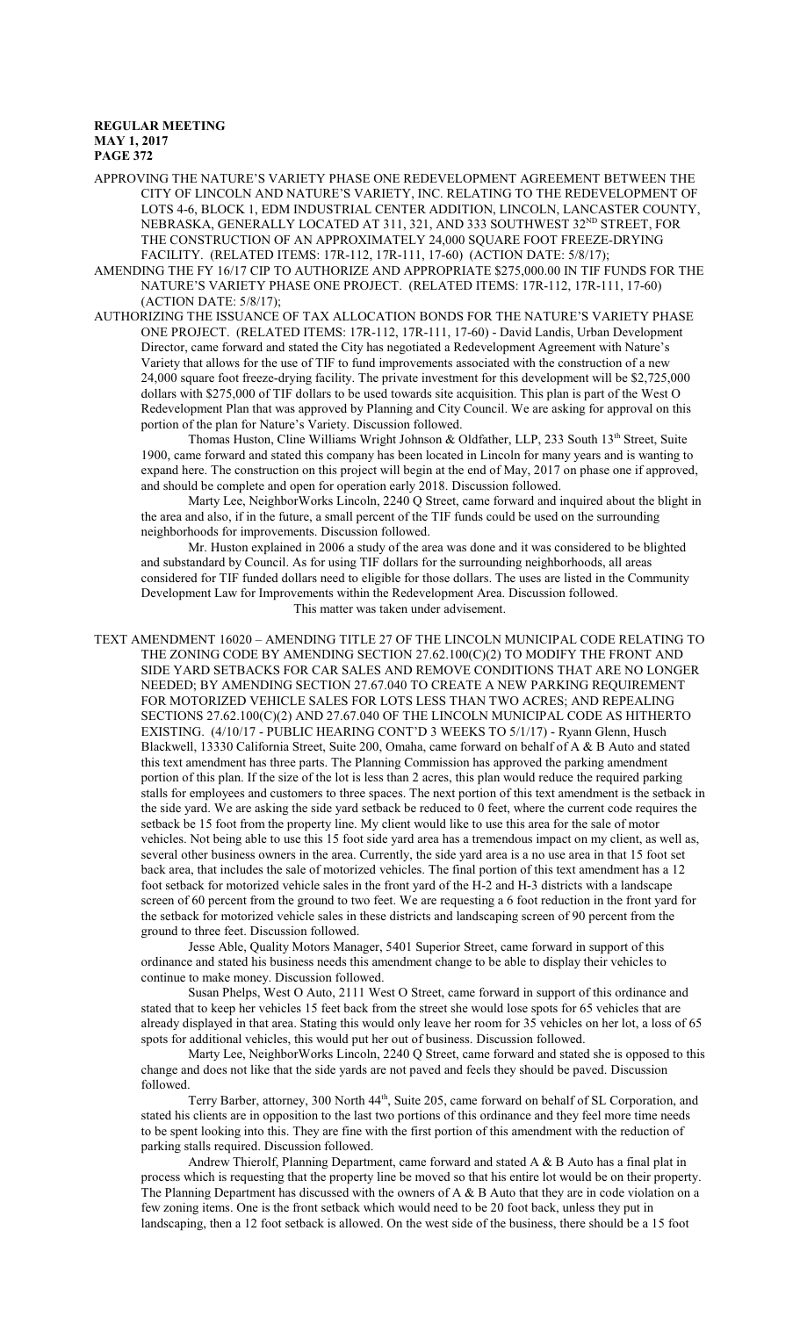APPROVING THE NATURE'S VARIETY PHASE ONE REDEVELOPMENT AGREEMENT BETWEEN THE CITY OF LINCOLN AND NATURE'S VARIETY, INC. RELATING TO THE REDEVELOPMENT OF LOTS 4-6, BLOCK 1, EDM INDUSTRIAL CENTER ADDITION, LINCOLN, LANCASTER COUNTY, NEBRASKA, GENERALLY LOCATED AT 311, 321, AND 333 SOUTHWEST 32 ND STREET, FOR THE CONSTRUCTION OF AN APPROXIMATELY 24,000 SQUARE FOOT FREEZE-DRYING FACILITY. (RELATED ITEMS: 17R-112, 17R-111, 17-60) (ACTION DATE: 5/8/17);

- AMENDING THE FY 16/17 CIP TO AUTHORIZE AND APPROPRIATE \$275,000.00 IN TIF FUNDS FOR THE NATURE'S VARIETY PHASE ONE PROJECT. (RELATED ITEMS: 17R-112, 17R-111, 17-60) (ACTION DATE: 5/8/17);
- AUTHORIZING THE ISSUANCE OF TAX ALLOCATION BONDS FOR THE NATURE'S VARIETY PHASE ONE PROJECT. (RELATED ITEMS: 17R-112, 17R-111, 17-60) - David Landis, Urban Development Director, came forward and stated the City has negotiated a Redevelopment Agreement with Nature's Variety that allows for the use of TIF to fund improvements associated with the construction of a new 24,000 square foot freeze-drying facility. The private investment for this development will be \$2,725,000 dollars with \$275,000 of TIF dollars to be used towards site acquisition. This plan is part of the West O Redevelopment Plan that was approved by Planning and City Council. We are asking for approval on this portion of the plan for Nature's Variety. Discussion followed.

Thomas Huston, Cline Williams Wright Johnson & Oldfather, LLP, 233 South 13<sup>th</sup> Street, Suite 1900, came forward and stated this company has been located in Lincoln for many years and is wanting to expand here. The construction on this project will begin at the end of May, 2017 on phase one if approved, and should be complete and open for operation early 2018. Discussion followed.

Marty Lee, NeighborWorks Lincoln, 2240 Q Street, came forward and inquired about the blight in the area and also, if in the future, a small percent of the TIF funds could be used on the surrounding neighborhoods for improvements. Discussion followed.

Mr. Huston explained in 2006 a study of the area was done and it was considered to be blighted and substandard by Council. As for using TIF dollars for the surrounding neighborhoods, all areas considered for TIF funded dollars need to eligible for those dollars. The uses are listed in the Community Development Law for Improvements within the Redevelopment Area. Discussion followed. This matter was taken under advisement.

TEXT AMENDMENT 16020 – AMENDING TITLE 27 OF THE LINCOLN MUNICIPAL CODE RELATING TO THE ZONING CODE BY AMENDING SECTION 27.62.100(C)(2) TO MODIFY THE FRONT AND SIDE YARD SETBACKS FOR CAR SALES AND REMOVE CONDITIONS THAT ARE NO LONGER NEEDED; BY AMENDING SECTION 27.67.040 TO CREATE A NEW PARKING REQUIREMENT FOR MOTORIZED VEHICLE SALES FOR LOTS LESS THAN TWO ACRES; AND REPEALING SECTIONS 27.62.100(C)(2) AND 27.67.040 OF THE LINCOLN MUNICIPAL CODE AS HITHERTO EXISTING. (4/10/17 - PUBLIC HEARING CONT'D 3 WEEKS TO 5/1/17) - Ryann Glenn, Husch Blackwell, 13330 California Street, Suite 200, Omaha, came forward on behalf of A & B Auto and stated this text amendment has three parts. The Planning Commission has approved the parking amendment portion of this plan. If the size of the lot is less than 2 acres, this plan would reduce the required parking stalls for employees and customers to three spaces. The next portion of this text amendment is the setback in the side yard. We are asking the side yard setback be reduced to 0 feet, where the current code requires the setback be 15 foot from the property line. My client would like to use this area for the sale of motor vehicles. Not being able to use this 15 foot side yard area has a tremendous impact on my client, as well as, several other business owners in the area. Currently, the side yard area is a no use area in that 15 foot set back area, that includes the sale of motorized vehicles. The final portion of this text amendment has a 12 foot setback for motorized vehicle sales in the front yard of the H-2 and H-3 districts with a landscape screen of 60 percent from the ground to two feet. We are requesting a 6 foot reduction in the front yard for the setback for motorized vehicle sales in these districts and landscaping screen of 90 percent from the ground to three feet. Discussion followed.

Jesse Able, Quality Motors Manager, 5401 Superior Street, came forward in support of this ordinance and stated his business needs this amendment change to be able to display their vehicles to continue to make money. Discussion followed.

Susan Phelps, West O Auto, 2111 West O Street, came forward in support of this ordinance and stated that to keep her vehicles 15 feet back from the street she would lose spots for 65 vehicles that are already displayed in that area. Stating this would only leave her room for 35 vehicles on her lot, a loss of 65 spots for additional vehicles, this would put her out of business. Discussion followed.

Marty Lee, NeighborWorks Lincoln, 2240 Q Street, came forward and stated she is opposed to this change and does not like that the side yards are not paved and feels they should be paved. Discussion followed.

Terry Barber, attorney, 300 North 44<sup>th</sup>, Suite 205, came forward on behalf of SL Corporation, and stated his clients are in opposition to the last two portions of this ordinance and they feel more time needs to be spent looking into this. They are fine with the first portion of this amendment with the reduction of parking stalls required. Discussion followed.

Andrew Thierolf, Planning Department, came forward and stated A & B Auto has a final plat in process which is requesting that the property line be moved so that his entire lot would be on their property. The Planning Department has discussed with the owners of A & B Auto that they are in code violation on a few zoning items. One is the front setback which would need to be 20 foot back, unless they put in landscaping, then a 12 foot setback is allowed. On the west side of the business, there should be a 15 foot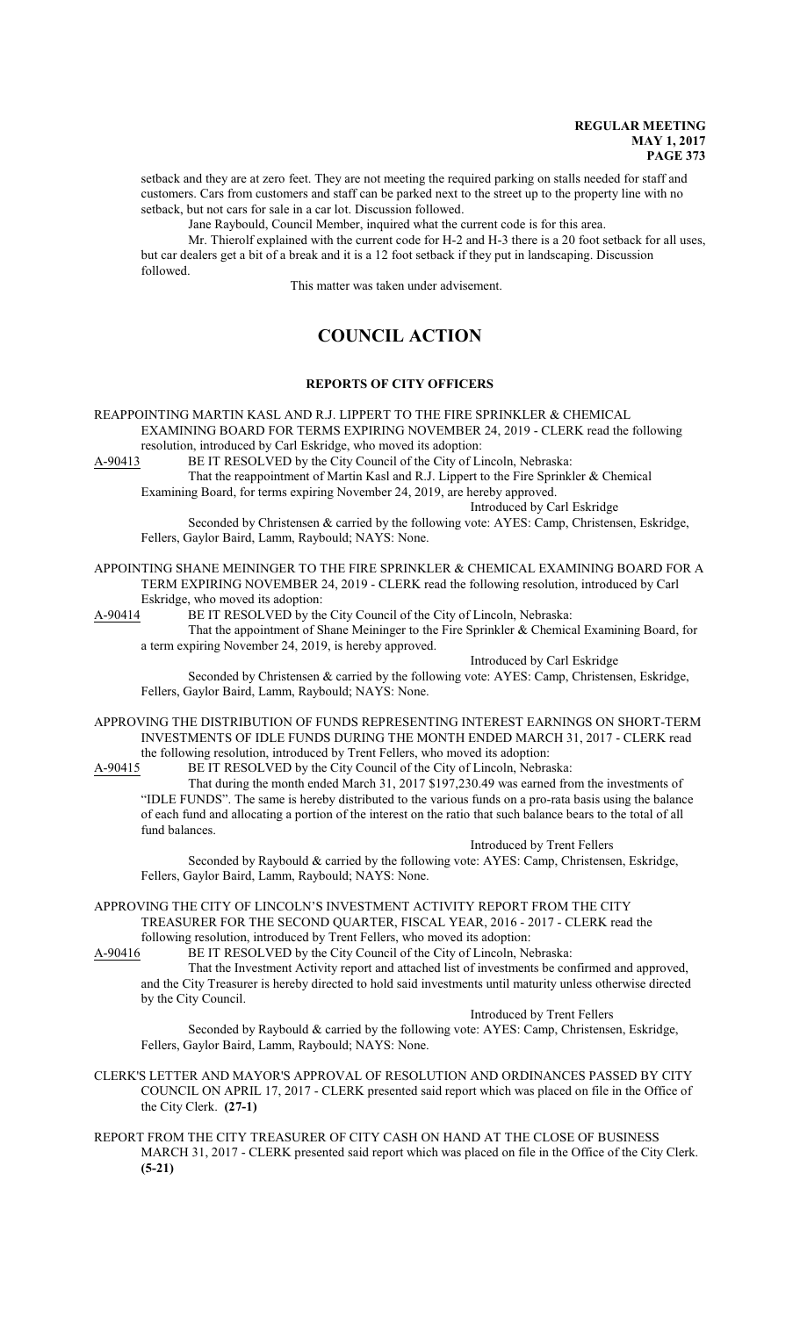setback and they are at zero feet. They are not meeting the required parking on stalls needed for staff and customers. Cars from customers and staff can be parked next to the street up to the property line with no setback, but not cars for sale in a car lot. Discussion followed.

Jane Raybould, Council Member, inquired what the current code is for this area.

Mr. Thierolf explained with the current code for H-2 and H-3 there is a 20 foot setback for all uses, but car dealers get a bit of a break and it is a 12 foot setback if they put in landscaping. Discussion followed.

This matter was taken under advisement.

# **COUNCIL ACTION**

## **REPORTS OF CITY OFFICERS**

# REAPPOINTING MARTIN KASL AND R.J. LIPPERT TO THE FIRE SPRINKLER & CHEMICAL EXAMINING BOARD FOR TERMS EXPIRING NOVEMBER 24, 2019 - CLERK read the following resolution, introduced by Carl Eskridge, who moved its adoption:<br>A-90413 BE IT RESOLVED by the City Council of the City of Li

BE IT RESOLVED by the City Council of the City of Lincoln, Nebraska:

That the reappointment of Martin Kasl and R.J. Lippert to the Fire Sprinkler & Chemical Examining Board, for terms expiring November 24, 2019, are hereby approved.

Introduced by Carl Eskridge

Seconded by Christensen & carried by the following vote: AYES: Camp, Christensen, Eskridge, Fellers, Gaylor Baird, Lamm, Raybould; NAYS: None.

APPOINTING SHANE MEININGER TO THE FIRE SPRINKLER & CHEMICAL EXAMINING BOARD FOR A TERM EXPIRING NOVEMBER 24, 2019 - CLERK read the following resolution, introduced by Carl Eskridge, who moved its adoption:

A-90414 BE IT RESOLVED by the City Council of the City of Lincoln, Nebraska:

That the appointment of Shane Meininger to the Fire Sprinkler & Chemical Examining Board, for a term expiring November 24, 2019, is hereby approved.

Introduced by Carl Eskridge

Seconded by Christensen & carried by the following vote: AYES: Camp, Christensen, Eskridge, Fellers, Gaylor Baird, Lamm, Raybould; NAYS: None.

APPROVING THE DISTRIBUTION OF FUNDS REPRESENTING INTEREST EARNINGS ON SHORT-TERM INVESTMENTS OF IDLE FUNDS DURING THE MONTH ENDED MARCH 31, 2017 - CLERK read the following resolution, introduced by Trent Fellers, who moved its adoption:

A-90415 BE IT RESOLVED by the City Council of the City of Lincoln, Nebraska:

That during the month ended March 31, 2017 \$197,230.49 was earned from the investments of "IDLE FUNDS". The same is hereby distributed to the various funds on a pro-rata basis using the balance of each fund and allocating a portion of the interest on the ratio that such balance bears to the total of all fund balances.

Introduced by Trent Fellers

Seconded by Raybould & carried by the following vote: AYES: Camp, Christensen, Eskridge, Fellers, Gaylor Baird, Lamm, Raybould; NAYS: None.

APPROVING THE CITY OF LINCOLN'S INVESTMENT ACTIVITY REPORT FROM THE CITY TREASURER FOR THE SECOND QUARTER, FISCAL YEAR, 2016 - 2017 - CLERK read the

following resolution, introduced by Trent Fellers, who moved its adoption:<br>A-90416 BE IT RESOLVED by the City Council of the City of Lincoln, Ne BE IT RESOLVED by the City Council of the City of Lincoln, Nebraska:

That the Investment Activity report and attached list of investments be confirmed and approved, and the City Treasurer is hereby directed to hold said investments until maturity unless otherwise directed by the City Council.

Introduced by Trent Fellers

Seconded by Raybould & carried by the following vote: AYES: Camp, Christensen, Eskridge, Fellers, Gaylor Baird, Lamm, Raybould; NAYS: None.

CLERK'S LETTER AND MAYOR'S APPROVAL OF RESOLUTION AND ORDINANCES PASSED BY CITY COUNCIL ON APRIL 17, 2017 - CLERK presented said report which was placed on file in the Office of the City Clerk. **(27-1)**

## REPORT FROM THE CITY TREASURER OF CITY CASH ON HAND AT THE CLOSE OF BUSINESS MARCH 31, 2017 - CLERK presented said report which was placed on file in the Office of the City Clerk. **(5-21)**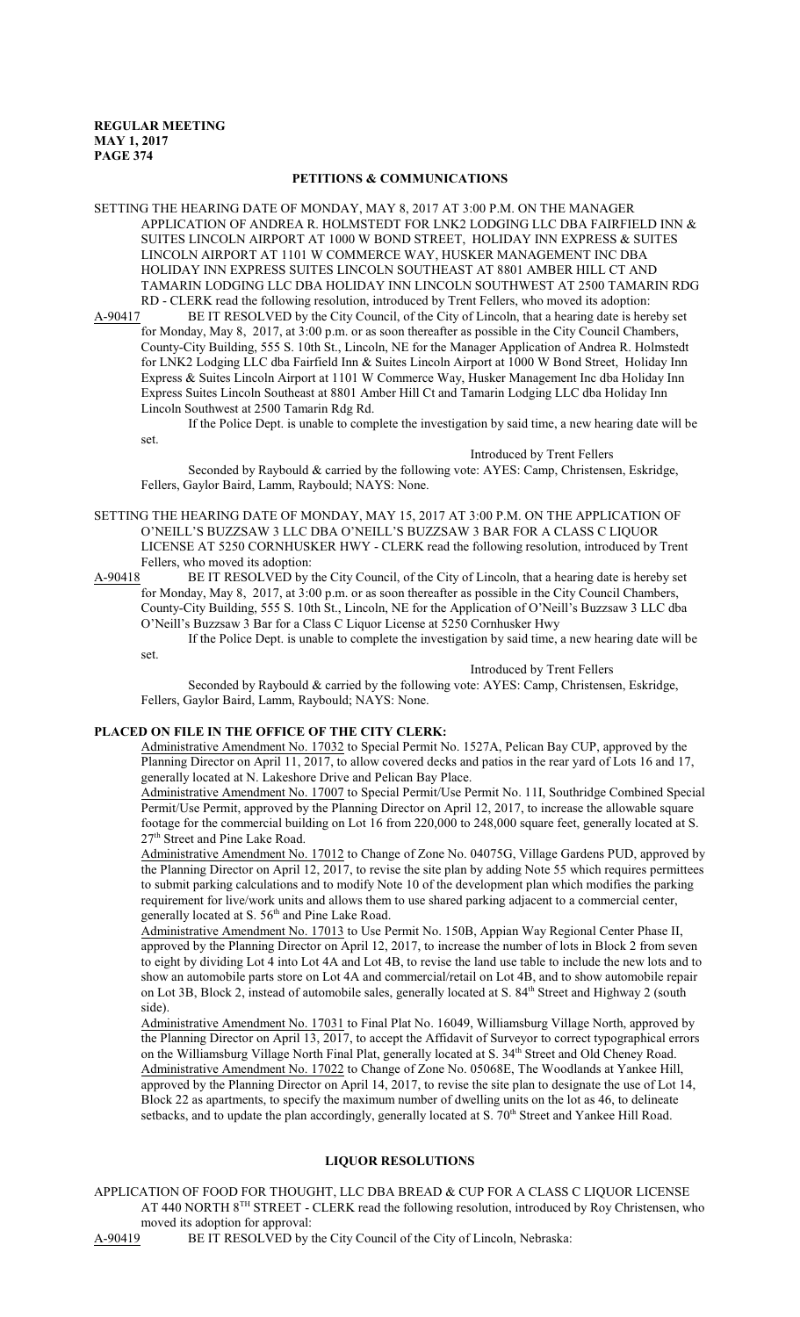## **PETITIONS & COMMUNICATIONS**

SETTING THE HEARING DATE OF MONDAY, MAY 8, 2017 AT 3:00 P.M. ON THE MANAGER APPLICATION OF ANDREA R. HOLMSTEDT FOR LNK2 LODGING LLC DBA FAIRFIELD INN & SUITES LINCOLN AIRPORT AT 1000 W BOND STREET, HOLIDAY INN EXPRESS & SUITES LINCOLN AIRPORT AT 1101 W COMMERCE WAY, HUSKER MANAGEMENT INC DBA HOLIDAY INN EXPRESS SUITES LINCOLN SOUTHEAST AT 8801 AMBER HILL CT AND TAMARIN LODGING LLC DBA HOLIDAY INN LINCOLN SOUTHWEST AT 2500 TAMARIN RDG RD - CLERK read the following resolution, introduced by Trent Fellers, who moved its adoption:

A-90417 BE IT RESOLVED by the City Council, of the City of Lincoln, that a hearing date is hereby set for Monday, May 8, 2017, at 3:00 p.m. or as soon thereafter as possible in the City Council Chambers, County-City Building, 555 S. 10th St., Lincoln, NE for the Manager Application of Andrea R. Holmstedt for LNK2 Lodging LLC dba Fairfield Inn & Suites Lincoln Airport at 1000 W Bond Street, Holiday Inn Express & Suites Lincoln Airport at 1101 W Commerce Way, Husker Management Inc dba Holiday Inn Express Suites Lincoln Southeast at 8801 Amber Hill Ct and Tamarin Lodging LLC dba Holiday Inn Lincoln Southwest at 2500 Tamarin Rdg Rd.

If the Police Dept. is unable to complete the investigation by said time, a new hearing date will be set.

Introduced by Trent Fellers

Seconded by Raybould & carried by the following vote: AYES: Camp, Christensen, Eskridge, Fellers, Gaylor Baird, Lamm, Raybould; NAYS: None.

- SETTING THE HEARING DATE OF MONDAY, MAY 15, 2017 AT 3:00 P.M. ON THE APPLICATION OF O'NEILL'S BUZZSAW 3 LLC DBA O'NEILL'S BUZZSAW 3 BAR FOR A CLASS C LIQUOR LICENSE AT 5250 CORNHUSKER HWY - CLERK read the following resolution, introduced by Trent Fellers, who moved its adoption:
- A-90418 BE IT RESOLVED by the City Council, of the City of Lincoln, that a hearing date is hereby set for Monday, May 8, 2017, at 3:00 p.m. or as soon thereafter as possible in the City Council Chambers, County-City Building, 555 S. 10th St., Lincoln, NE for the Application of O'Neill's Buzzsaw 3 LLC dba O'Neill's Buzzsaw 3 Bar for a Class C Liquor License at 5250 Cornhusker Hwy

If the Police Dept. is unable to complete the investigation by said time, a new hearing date will be set.

#### Introduced by Trent Fellers

Seconded by Raybould & carried by the following vote: AYES: Camp, Christensen, Eskridge, Fellers, Gaylor Baird, Lamm, Raybould; NAYS: None.

#### **PLACED ON FILE IN THE OFFICE OF THE CITY CLERK:**

Administrative Amendment No. 17032 to Special Permit No. 1527A, Pelican Bay CUP, approved by the Planning Director on April 11, 2017, to allow covered decks and patios in the rear yard of Lots 16 and 17, generally located at N. Lakeshore Drive and Pelican Bay Place.

Administrative Amendment No. 17007 to Special Permit/Use Permit No. 11I, Southridge Combined Special Permit/Use Permit, approved by the Planning Director on April 12, 2017, to increase the allowable square footage for the commercial building on Lot 16 from 220,000 to 248,000 square feet, generally located at S. 27<sup>th</sup> Street and Pine Lake Road.

Administrative Amendment No. 17012 to Change of Zone No. 04075G, Village Gardens PUD, approved by the Planning Director on April 12, 2017, to revise the site plan by adding Note 55 which requires permittees to submit parking calculations and to modify Note 10 of the development plan which modifies the parking requirement for live/work units and allows them to use shared parking adjacent to a commercial center, generally located at S. 56<sup>th</sup> and Pine Lake Road.

Administrative Amendment No. 17013 to Use Permit No. 150B, Appian Way Regional Center Phase II, approved by the Planning Director on April 12, 2017, to increase the number of lots in Block 2 from seven to eight by dividing Lot 4 into Lot 4A and Lot 4B, to revise the land use table to include the new lots and to show an automobile parts store on Lot 4A and commercial/retail on Lot 4B, and to show automobile repair on Lot 3B, Block 2, instead of automobile sales, generally located at S. 84<sup>th</sup> Street and Highway 2 (south side).

Administrative Amendment No. 17031 to Final Plat No. 16049, Williamsburg Village North, approved by the Planning Director on April 13, 2017, to accept the Affidavit of Surveyor to correct typographical errors on the Williamsburg Village North Final Plat, generally located at S. 34<sup>th</sup> Street and Old Cheney Road. Administrative Amendment No. 17022 to Change of Zone No. 05068E, The Woodlands at Yankee Hill, approved by the Planning Director on April 14, 2017, to revise the site plan to designate the use of Lot 14, Block 22 as apartments, to specify the maximum number of dwelling units on the lot as 46, to delineate setbacks, and to update the plan accordingly, generally located at S. 70<sup>th</sup> Street and Yankee Hill Road.

#### **LIQUOR RESOLUTIONS**

APPLICATION OF FOOD FOR THOUGHT, LLC DBA BREAD & CUP FOR A CLASS C LIQUOR LICENSE AT 440 NORTH 8<sup>TH</sup> STREET - CLERK read the following resolution, introduced by Roy Christensen, who moved its adoption for approval: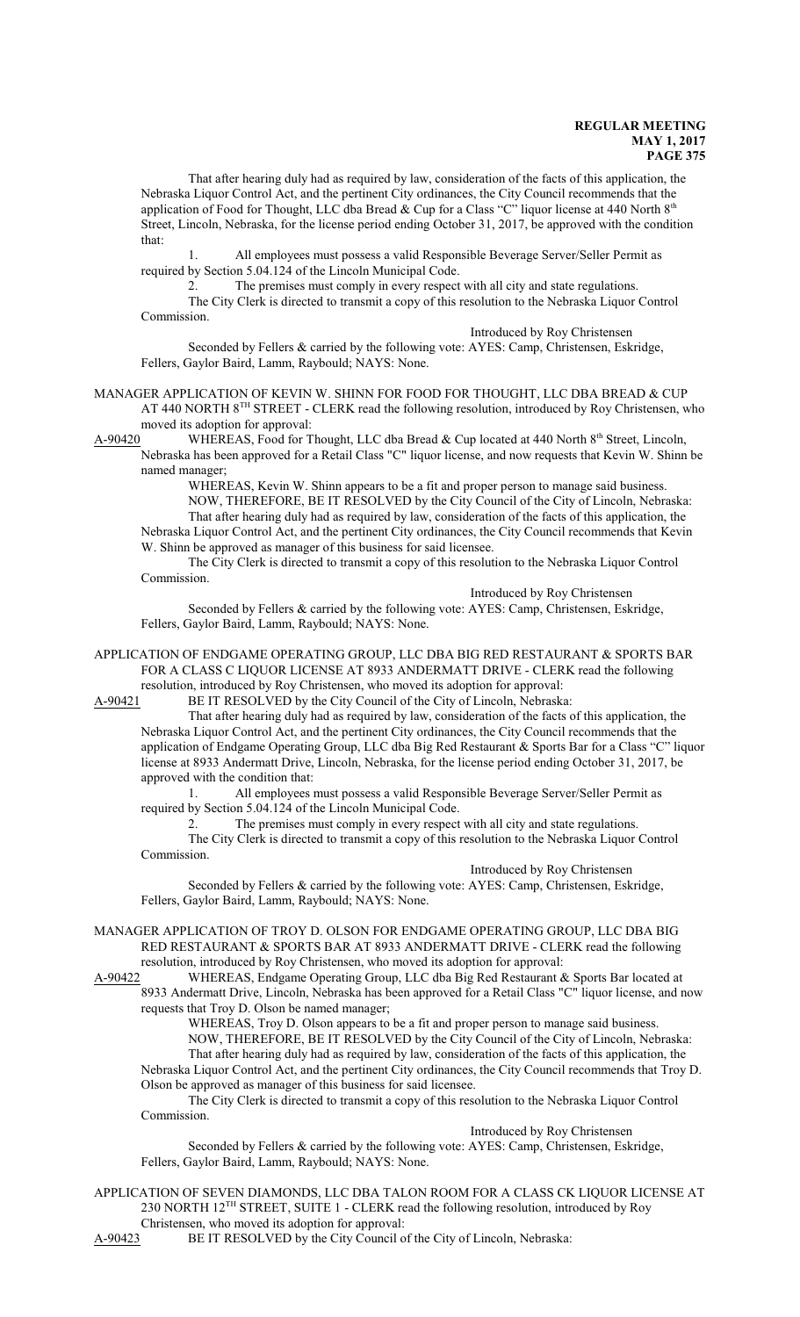That after hearing duly had as required by law, consideration of the facts of this application, the Nebraska Liquor Control Act, and the pertinent City ordinances, the City Council recommends that the application of Food for Thought, LLC dba Bread & Cup for a Class "C" liquor license at 440 North  $8<sup>th</sup>$ Street, Lincoln, Nebraska, for the license period ending October 31, 2017, be approved with the condition that:

1. All employees must possess a valid Responsible Beverage Server/Seller Permit as required by Section 5.04.124 of the Lincoln Municipal Code.

2. The premises must comply in every respect with all city and state regulations.

The City Clerk is directed to transmit a copy of this resolution to the Nebraska Liquor Control Commission.

Introduced by Roy Christensen

Seconded by Fellers & carried by the following vote: AYES: Camp, Christensen, Eskridge, Fellers, Gaylor Baird, Lamm, Raybould; NAYS: None.

MANAGER APPLICATION OF KEVIN W. SHINN FOR FOOD FOR THOUGHT, LLC DBA BREAD & CUP AT 440 NORTH 8<sup>TH</sup> STREET - CLERK read the following resolution, introduced by Roy Christensen, who moved its adoption for approval:

A-90420 WHEREAS, Food for Thought, LLC dba Bread & Cup located at 440 North 8<sup>th</sup> Street, Lincoln, Nebraska has been approved for a Retail Class "C" liquor license, and now requests that Kevin W. Shinn be named manager;

WHEREAS, Kevin W. Shinn appears to be a fit and proper person to manage said business. NOW, THEREFORE, BE IT RESOLVED by the City Council of the City of Lincoln, Nebraska: That after hearing duly had as required by law, consideration of the facts of this application, the Nebraska Liquor Control Act, and the pertinent City ordinances, the City Council recommends that Kevin W. Shinn be approved as manager of this business for said licensee.

The City Clerk is directed to transmit a copy of this resolution to the Nebraska Liquor Control Commission.

Introduced by Roy Christensen

Seconded by Fellers & carried by the following vote: AYES: Camp, Christensen, Eskridge, Fellers, Gaylor Baird, Lamm, Raybould; NAYS: None.

APPLICATION OF ENDGAME OPERATING GROUP, LLC DBA BIG RED RESTAURANT & SPORTS BAR FOR A CLASS C LIQUOR LICENSE AT 8933 ANDERMATT DRIVE - CLERK read the following resolution, introduced by Roy Christensen, who moved its adoption for approval:

A-90421 BE IT RESOLVED by the City Council of the City of Lincoln, Nebraska:

That after hearing duly had as required by law, consideration of the facts of this application, the Nebraska Liquor Control Act, and the pertinent City ordinances, the City Council recommends that the application of Endgame Operating Group, LLC dba Big Red Restaurant & Sports Bar for a Class "C" liquor license at 8933 Andermatt Drive, Lincoln, Nebraska, for the license period ending October 31, 2017, be approved with the condition that:

1. All employees must possess a valid Responsible Beverage Server/Seller Permit as required by Section 5.04.124 of the Lincoln Municipal Code.

2. The premises must comply in every respect with all city and state regulations. The City Clerk is directed to transmit a copy of this resolution to the Nebraska Liquor Control Commission.

Introduced by Roy Christensen

Seconded by Fellers & carried by the following vote: AYES: Camp, Christensen, Eskridge, Fellers, Gaylor Baird, Lamm, Raybould; NAYS: None.

MANAGER APPLICATION OF TROY D. OLSON FOR ENDGAME OPERATING GROUP, LLC DBA BIG RED RESTAURANT & SPORTS BAR AT 8933 ANDERMATT DRIVE - CLERK read the following resolution, introduced by Roy Christensen, who moved its adoption for approval:

A-90422 WHEREAS, Endgame Operating Group, LLC dba Big Red Restaurant & Sports Bar located at 8933 Andermatt Drive, Lincoln, Nebraska has been approved for a Retail Class "C" liquor license, and now requests that Troy D. Olson be named manager;

WHEREAS, Troy D. Olson appears to be a fit and proper person to manage said business. NOW, THEREFORE, BE IT RESOLVED by the City Council of the City of Lincoln, Nebraska: That after hearing duly had as required by law, consideration of the facts of this application, the Nebraska Liquor Control Act, and the pertinent City ordinances, the City Council recommends that Troy D. Olson be approved as manager of this business for said licensee.

The City Clerk is directed to transmit a copy of this resolution to the Nebraska Liquor Control Commission.

Introduced by Roy Christensen

Seconded by Fellers & carried by the following vote: AYES: Camp, Christensen, Eskridge, Fellers, Gaylor Baird, Lamm, Raybould; NAYS: None.

APPLICATION OF SEVEN DIAMONDS, LLC DBA TALON ROOM FOR A CLASS CK LIQUOR LICENSE AT 230 NORTH 12<sup>TH</sup> STREET, SUITE 1 - CLERK read the following resolution, introduced by Roy Christensen, who moved its adoption for approval:

A-90423 BE IT RESOLVED by the City Council of the City of Lincoln, Nebraska: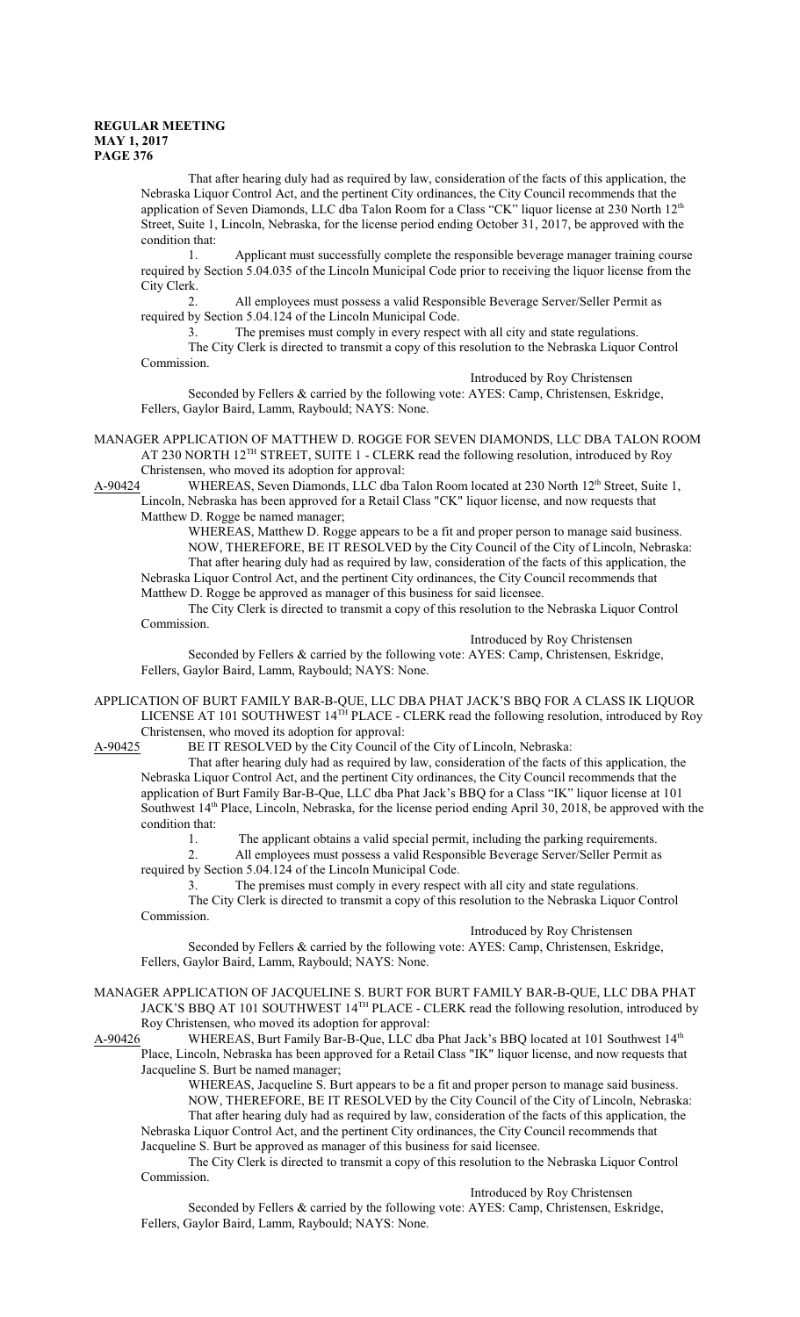That after hearing duly had as required by law, consideration of the facts of this application, the Nebraska Liquor Control Act, and the pertinent City ordinances, the City Council recommends that the application of Seven Diamonds, LLC dba Talon Room for a Class "CK" liquor license at 230 North 12<sup>th</sup> Street, Suite 1, Lincoln, Nebraska, for the license period ending October 31, 2017, be approved with the condition that:

1. Applicant must successfully complete the responsible beverage manager training course required by Section 5.04.035 of the Lincoln Municipal Code prior to receiving the liquor license from the City Clerk.

2. All employees must possess a valid Responsible Beverage Server/Seller Permit as required by Section 5.04.124 of the Lincoln Municipal Code.

3. The premises must comply in every respect with all city and state regulations. The City Clerk is directed to transmit a copy of this resolution to the Nebraska Liquor Control Commission.

Introduced by Roy Christensen

Seconded by Fellers & carried by the following vote: AYES: Camp, Christensen, Eskridge, Fellers, Gaylor Baird, Lamm, Raybould; NAYS: None.

MANAGER APPLICATION OF MATTHEW D. ROGGE FOR SEVEN DIAMONDS, LLC DBA TALON ROOM AT 230 NORTH 12<sup>TH</sup> STREET, SUITE 1 - CLERK read the following resolution, introduced by Roy Christensen, who moved its adoption for approval:

A-90424 WHEREAS, Seven Diamonds, LLC dba Talon Room located at 230 North 12<sup>th</sup> Street, Suite 1, Lincoln, Nebraska has been approved for a Retail Class "CK" liquor license, and now requests that Matthew D. Rogge be named manager;

WHEREAS, Matthew D. Rogge appears to be a fit and proper person to manage said business. NOW, THEREFORE, BE IT RESOLVED by the City Council of the City of Lincoln, Nebraska: That after hearing duly had as required by law, consideration of the facts of this application, the Nebraska Liquor Control Act, and the pertinent City ordinances, the City Council recommends that Matthew D. Rogge be approved as manager of this business for said licensee.

The City Clerk is directed to transmit a copy of this resolution to the Nebraska Liquor Control Commission.

Introduced by Roy Christensen

Seconded by Fellers & carried by the following vote: AYES: Camp, Christensen, Eskridge, Fellers, Gaylor Baird, Lamm, Raybould; NAYS: None.

APPLICATION OF BURT FAMILY BAR-B-QUE, LLC DBA PHAT JACK'S BBQ FOR A CLASS IK LIQUOR LICENSE AT 101 SOUTHWEST 14<sup>TH</sup> PLACE - CLERK read the following resolution, introduced by Roy Christensen, who moved its adoption for approval:

A-90425 BE IT RESOLVED by the City Council of the City of Lincoln, Nebraska:

That after hearing duly had as required by law, consideration of the facts of this application, the Nebraska Liquor Control Act, and the pertinent City ordinances, the City Council recommends that the application of Burt Family Bar-B-Que, LLC dba Phat Jack's BBQ for a Class "IK" liquor license at 101 Southwest 14<sup>th</sup> Place, Lincoln, Nebraska, for the license period ending April 30, 2018, be approved with the condition that:

1. The applicant obtains a valid special permit, including the parking requirements.

2. All employees must possess a valid Responsible Beverage Server/Seller Permit as required by Section 5.04.124 of the Lincoln Municipal Code.

3. The premises must comply in every respect with all city and state regulations.

The City Clerk is directed to transmit a copy of this resolution to the Nebraska Liquor Control Commission.

Introduced by Roy Christensen

Seconded by Fellers & carried by the following vote: AYES: Camp, Christensen, Eskridge, Fellers, Gaylor Baird, Lamm, Raybould; NAYS: None.

MANAGER APPLICATION OF JACQUELINE S. BURT FOR BURT FAMILY BAR-B-QUE, LLC DBA PHAT JACK'S BBQ AT 101 SOUTHWEST 14TH PLACE - CLERK read the following resolution, introduced by Roy Christensen, who moved its adoption for approval:

A-90426 WHEREAS, Burt Family Bar-B-Que, LLC dba Phat Jack's BBQ located at 101 Southwest 14<sup>th</sup> Place, Lincoln, Nebraska has been approved for a Retail Class "IK" liquor license, and now requests that Jacqueline S. Burt be named manager;

WHEREAS, Jacqueline S. Burt appears to be a fit and proper person to manage said business.

NOW, THEREFORE, BE IT RESOLVED by the City Council of the City of Lincoln, Nebraska: That after hearing duly had as required by law, consideration of the facts of this application, the Nebraska Liquor Control Act, and the pertinent City ordinances, the City Council recommends that Jacqueline S. Burt be approved as manager of this business for said licensee.

The City Clerk is directed to transmit a copy of this resolution to the Nebraska Liquor Control Commission.

Introduced by Roy Christensen

Seconded by Fellers & carried by the following vote: AYES: Camp, Christensen, Eskridge, Fellers, Gaylor Baird, Lamm, Raybould; NAYS: None.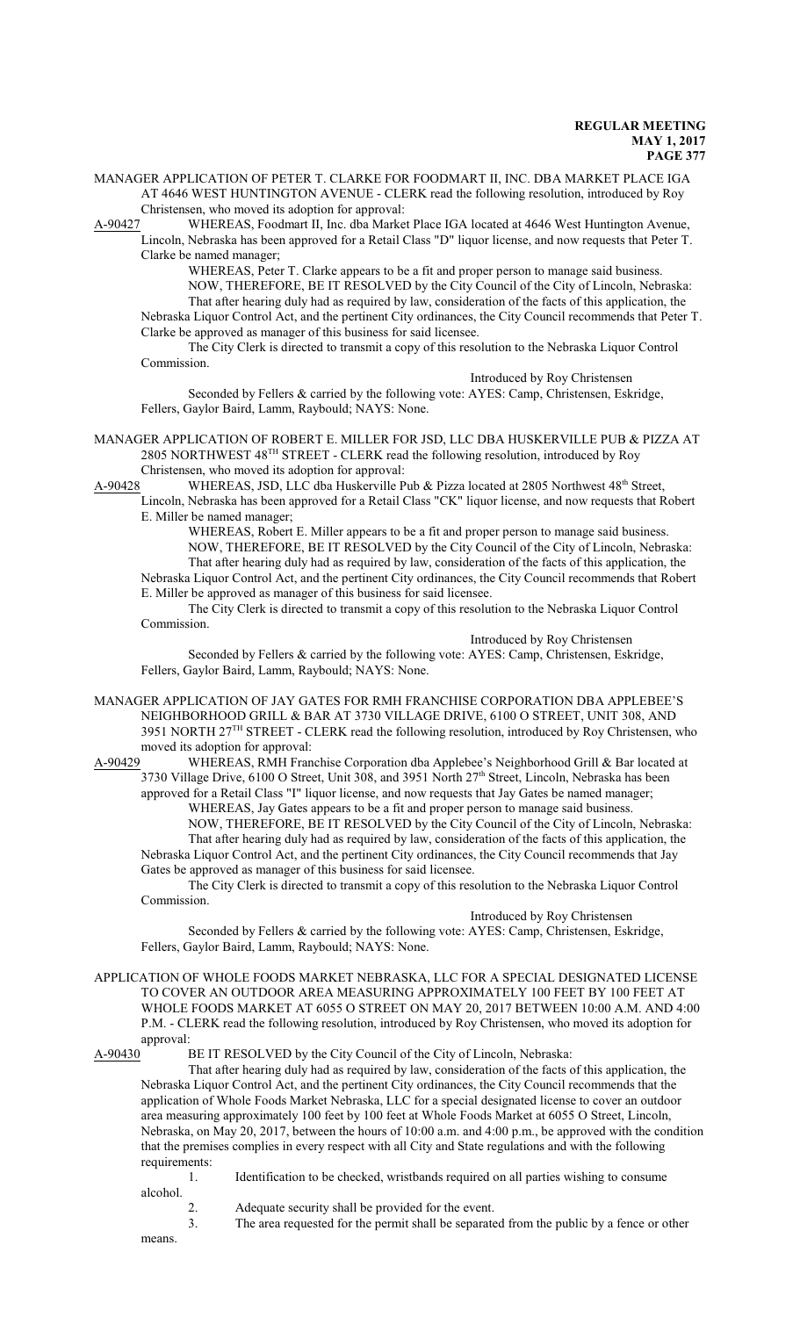MANAGER APPLICATION OF PETER T. CLARKE FOR FOODMART II, INC. DBA MARKET PLACE IGA AT 4646 WEST HUNTINGTON AVENUE - CLERK read the following resolution, introduced by Roy Christensen, who moved its adoption for approval:

A-90427 WHEREAS, Foodmart II, Inc. dba Market Place IGA located at 4646 West Huntington Avenue, Lincoln, Nebraska has been approved for a Retail Class "D" liquor license, and now requests that Peter T. Clarke be named manager;

WHEREAS, Peter T. Clarke appears to be a fit and proper person to manage said business. NOW, THEREFORE, BE IT RESOLVED by the City Council of the City of Lincoln, Nebraska: That after hearing duly had as required by law, consideration of the facts of this application, the Nebraska Liquor Control Act, and the pertinent City ordinances, the City Council recommends that Peter T. Clarke be approved as manager of this business for said licensee.

The City Clerk is directed to transmit a copy of this resolution to the Nebraska Liquor Control Commission.

Introduced by Roy Christensen

Seconded by Fellers & carried by the following vote: AYES: Camp, Christensen, Eskridge, Fellers, Gaylor Baird, Lamm, Raybould; NAYS: None.

MANAGER APPLICATION OF ROBERT E. MILLER FOR JSD, LLC DBA HUSKERVILLE PUB & PIZZA AT 2805 NORTHWEST 48<sup>TH</sup> STREET - CLERK read the following resolution, introduced by Roy Christensen, who moved its adoption for approval:

A-90428 WHEREAS, JSD, LLC dba Huskerville Pub & Pizza located at 2805 Northwest 48<sup>th</sup> Street, Lincoln, Nebraska has been approved for a Retail Class "CK" liquor license, and now requests that Robert

E. Miller be named manager; WHEREAS, Robert E. Miller appears to be a fit and proper person to manage said business. NOW, THEREFORE, BE IT RESOLVED by the City Council of the City of Lincoln, Nebraska: That after hearing duly had as required by law, consideration of the facts of this application, the

Nebraska Liquor Control Act, and the pertinent City ordinances, the City Council recommends that Robert E. Miller be approved as manager of this business for said licensee.

The City Clerk is directed to transmit a copy of this resolution to the Nebraska Liquor Control Commission.

Introduced by Roy Christensen

Seconded by Fellers & carried by the following vote: AYES: Camp, Christensen, Eskridge, Fellers, Gaylor Baird, Lamm, Raybould; NAYS: None.

MANAGER APPLICATION OF JAY GATES FOR RMH FRANCHISE CORPORATION DBA APPLEBEE'S NEIGHBORHOOD GRILL & BAR AT 3730 VILLAGE DRIVE, 6100 O STREET, UNIT 308, AND 3951 NORTH 27<sup>TH</sup> STREET - CLERK read the following resolution, introduced by Roy Christensen, who moved its adoption for approval:

A-90429 WHEREAS, RMH Franchise Corporation dba Applebee's Neighborhood Grill & Bar located at 3730 Village Drive, 6100 O Street, Unit 308, and 3951 North 27<sup>th</sup> Street, Lincoln, Nebraska has been approved for a Retail Class "I" liquor license, and now requests that Jay Gates be named manager;

WHEREAS, Jay Gates appears to be a fit and proper person to manage said business.

NOW, THEREFORE, BE IT RESOLVED by the City Council of the City of Lincoln, Nebraska: That after hearing duly had as required by law, consideration of the facts of this application, the Nebraska Liquor Control Act, and the pertinent City ordinances, the City Council recommends that Jay Gates be approved as manager of this business for said licensee.

The City Clerk is directed to transmit a copy of this resolution to the Nebraska Liquor Control Commission.

Introduced by Roy Christensen

Seconded by Fellers & carried by the following vote: AYES: Camp, Christensen, Eskridge, Fellers, Gaylor Baird, Lamm, Raybould; NAYS: None.

APPLICATION OF WHOLE FOODS MARKET NEBRASKA, LLC FOR A SPECIAL DESIGNATED LICENSE TO COVER AN OUTDOOR AREA MEASURING APPROXIMATELY 100 FEET BY 100 FEET AT WHOLE FOODS MARKET AT 6055 O STREET ON MAY 20, 2017 BETWEEN 10:00 A.M. AND 4:00 P.M. - CLERK read the following resolution, introduced by Roy Christensen, who moved its adoption for approval:<br>A-90430 I

BE IT RESOLVED by the City Council of the City of Lincoln, Nebraska:

That after hearing duly had as required by law, consideration of the facts of this application, the Nebraska Liquor Control Act, and the pertinent City ordinances, the City Council recommends that the application of Whole Foods Market Nebraska, LLC for a special designated license to cover an outdoor area measuring approximately 100 feet by 100 feet at Whole Foods Market at 6055 O Street, Lincoln, Nebraska, on May 20, 2017, between the hours of 10:00 a.m. and 4:00 p.m., be approved with the condition that the premises complies in every respect with all City and State regulations and with the following requirements:

1. Identification to be checked, wristbands required on all parties wishing to consume alcohol.

2. Adequate security shall be provided for the event.

3. The area requested for the permit shall be separated from the public by a fence or other

means.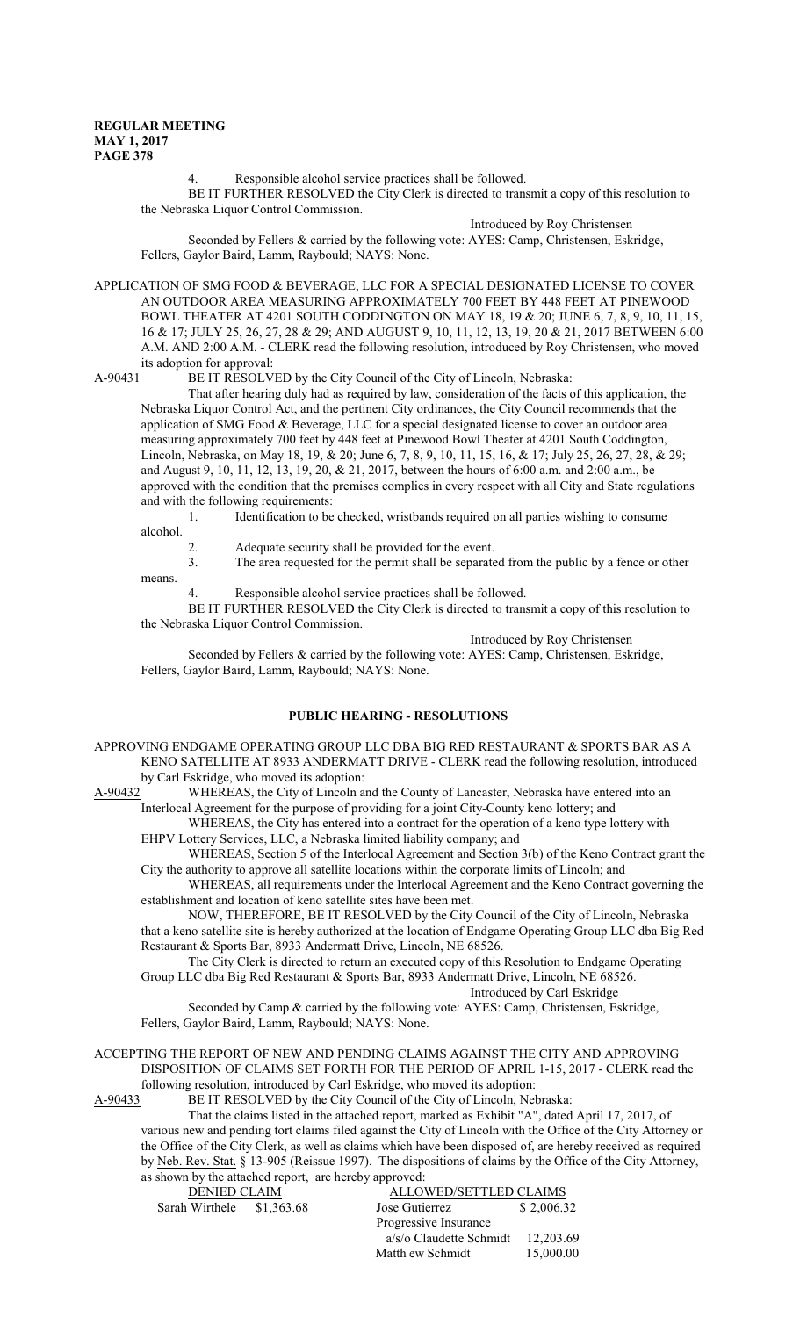means.

4. Responsible alcohol service practices shall be followed.

BE IT FURTHER RESOLVED the City Clerk is directed to transmit a copy of this resolution to the Nebraska Liquor Control Commission.

Introduced by Roy Christensen

Seconded by Fellers & carried by the following vote: AYES: Camp, Christensen, Eskridge, Fellers, Gaylor Baird, Lamm, Raybould; NAYS: None.

APPLICATION OF SMG FOOD & BEVERAGE, LLC FOR A SPECIAL DESIGNATED LICENSE TO COVER AN OUTDOOR AREA MEASURING APPROXIMATELY 700 FEET BY 448 FEET AT PINEWOOD BOWL THEATER AT 4201 SOUTH CODDINGTON ON MAY 18, 19 & 20; JUNE 6, 7, 8, 9, 10, 11, 15, 16 & 17; JULY 25, 26, 27, 28 & 29; AND AUGUST 9, 10, 11, 12, 13, 19, 20 & 21, 2017 BETWEEN 6:00 A.M. AND 2:00 A.M. - CLERK read the following resolution, introduced by Roy Christensen, who moved its adoption for approval:<br>A-90431 BE IT RESOLV

BE IT RESOLVED by the City Council of the City of Lincoln, Nebraska:

That after hearing duly had as required by law, consideration of the facts of this application, the Nebraska Liquor Control Act, and the pertinent City ordinances, the City Council recommends that the application of SMG Food & Beverage, LLC for a special designated license to cover an outdoor area measuring approximately 700 feet by 448 feet at Pinewood Bowl Theater at 4201 South Coddington, Lincoln, Nebraska, on May 18, 19, & 20; June 6, 7, 8, 9, 10, 11, 15, 16, & 17; July 25, 26, 27, 28, & 29; and August 9, 10, 11, 12, 13, 19, 20, & 21, 2017, between the hours of 6:00 a.m. and 2:00 a.m., be approved with the condition that the premises complies in every respect with all City and State regulations and with the following requirements:

1. Identification to be checked, wristbands required on all parties wishing to consume alcohol.

- 2. Adequate security shall be provided for the event.
- 3. The area requested for the permit shall be separated from the public by a fence or other
	- Responsible alcohol service practices shall be followed.

BE IT FURTHER RESOLVED the City Clerk is directed to transmit a copy of this resolution to the Nebraska Liquor Control Commission.

Introduced by Roy Christensen

Seconded by Fellers & carried by the following vote: AYES: Camp, Christensen, Eskridge, Fellers, Gaylor Baird, Lamm, Raybould; NAYS: None.

## **PUBLIC HEARING - RESOLUTIONS**

APPROVING ENDGAME OPERATING GROUP LLC DBA BIG RED RESTAURANT & SPORTS BAR AS A KENO SATELLITE AT 8933 ANDERMATT DRIVE - CLERK read the following resolution, introduced by Carl Eskridge, who moved its adoption:

A-90432 WHEREAS, the City of Lincoln and the County of Lancaster, Nebraska have entered into an Interlocal Agreement for the purpose of providing for a joint City-County keno lottery; and

WHEREAS, the City has entered into a contract for the operation of a keno type lottery with EHPV Lottery Services, LLC, a Nebraska limited liability company; and

WHEREAS, Section 5 of the Interlocal Agreement and Section 3(b) of the Keno Contract grant the City the authority to approve all satellite locations within the corporate limits of Lincoln; and

WHEREAS, all requirements under the Interlocal Agreement and the Keno Contract governing the establishment and location of keno satellite sites have been met.

NOW, THEREFORE, BE IT RESOLVED by the City Council of the City of Lincoln, Nebraska that a keno satellite site is hereby authorized at the location of Endgame Operating Group LLC dba Big Red Restaurant & Sports Bar, 8933 Andermatt Drive, Lincoln, NE 68526.

The City Clerk is directed to return an executed copy of this Resolution to Endgame Operating Group LLC dba Big Red Restaurant & Sports Bar, 8933 Andermatt Drive, Lincoln, NE 68526.

Introduced by Carl Eskridge

Seconded by Camp & carried by the following vote: AYES: Camp, Christensen, Eskridge, Fellers, Gaylor Baird, Lamm, Raybould; NAYS: None.

## ACCEPTING THE REPORT OF NEW AND PENDING CLAIMS AGAINST THE CITY AND APPROVING DISPOSITION OF CLAIMS SET FORTH FOR THE PERIOD OF APRIL 1-15, 2017 - CLERK read the following resolution, introduced by Carl Eskridge, who moved its adoption:

A-90433 BE IT RESOLVED by the City Council of the City of Lincoln, Nebraska:

That the claims listed in the attached report, marked as Exhibit "A", dated April 17, 2017, of various new and pending tort claims filed against the City of Lincoln with the Office of the City Attorney or the Office of the City Clerk, as well as claims which have been disposed of, are hereby received as required by Neb. Rev. Stat. § 13-905 (Reissue 1997). The dispositions of claims by the Office of the City Attorney, as shown by the attached report, are hereby approved:

 DENIED CLAIM ALLOWED/SETTLED CLAIMS Sarah Wirthele  $$1,363.68$  Jose Gutierrez  $$2,006.32$  Progressive Insurance a/s/o Claudette Schmidt 12,203.69 Matth ew Schmidt 15,000.00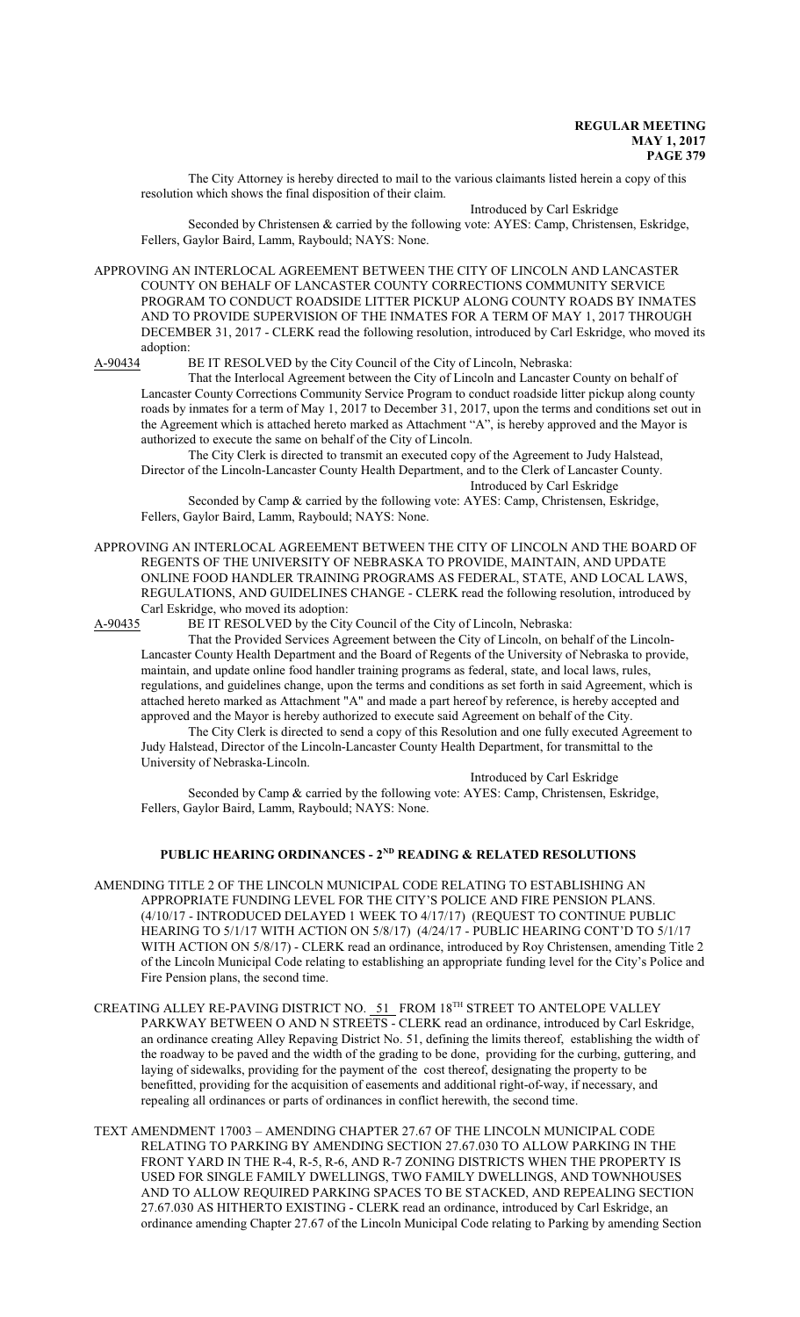The City Attorney is hereby directed to mail to the various claimants listed herein a copy of this resolution which shows the final disposition of their claim.

Introduced by Carl Eskridge Seconded by Christensen & carried by the following vote: AYES: Camp, Christensen, Eskridge, Fellers, Gaylor Baird, Lamm, Raybould; NAYS: None.

APPROVING AN INTERLOCAL AGREEMENT BETWEEN THE CITY OF LINCOLN AND LANCASTER COUNTY ON BEHALF OF LANCASTER COUNTY CORRECTIONS COMMUNITY SERVICE PROGRAM TO CONDUCT ROADSIDE LITTER PICKUP ALONG COUNTY ROADS BY INMATES AND TO PROVIDE SUPERVISION OF THE INMATES FOR A TERM OF MAY 1, 2017 THROUGH DECEMBER 31, 2017 - CLERK read the following resolution, introduced by Carl Eskridge, who moved its adoption:

A-90434 BE IT RESOLVED by the City Council of the City of Lincoln, Nebraska:

That the Interlocal Agreement between the City of Lincoln and Lancaster County on behalf of Lancaster County Corrections Community Service Program to conduct roadside litter pickup along county roads by inmates for a term of May 1, 2017 to December 31, 2017, upon the terms and conditions set out in the Agreement which is attached hereto marked as Attachment "A", is hereby approved and the Mayor is authorized to execute the same on behalf of the City of Lincoln.

The City Clerk is directed to transmit an executed copy of the Agreement to Judy Halstead, Director of the Lincoln-Lancaster County Health Department, and to the Clerk of Lancaster County. Introduced by Carl Eskridge

Seconded by Camp & carried by the following vote: AYES: Camp, Christensen, Eskridge, Fellers, Gaylor Baird, Lamm, Raybould; NAYS: None.

APPROVING AN INTERLOCAL AGREEMENT BETWEEN THE CITY OF LINCOLN AND THE BOARD OF REGENTS OF THE UNIVERSITY OF NEBRASKA TO PROVIDE, MAINTAIN, AND UPDATE ONLINE FOOD HANDLER TRAINING PROGRAMS AS FEDERAL, STATE, AND LOCAL LAWS, REGULATIONS, AND GUIDELINES CHANGE - CLERK read the following resolution, introduced by Carl Eskridge, who moved its adoption:<br>A-90435 BE IT RESOLVED by the City

BE IT RESOLVED by the City Council of the City of Lincoln, Nebraska:

That the Provided Services Agreement between the City of Lincoln, on behalf of the Lincoln-Lancaster County Health Department and the Board of Regents of the University of Nebraska to provide, maintain, and update online food handler training programs as federal, state, and local laws, rules, regulations, and guidelines change, upon the terms and conditions as set forth in said Agreement, which is attached hereto marked as Attachment "A" and made a part hereof by reference, is hereby accepted and approved and the Mayor is hereby authorized to execute said Agreement on behalf of the City.

The City Clerk is directed to send a copy of this Resolution and one fully executed Agreement to Judy Halstead, Director of the Lincoln-Lancaster County Health Department, for transmittal to the University of Nebraska-Lincoln.

Introduced by Carl Eskridge

Seconded by Camp & carried by the following vote: AYES: Camp, Christensen, Eskridge, Fellers, Gaylor Baird, Lamm, Raybould; NAYS: None.

### **PUBLIC HEARING ORDINANCES - 2ND READING & RELATED RESOLUTIONS**

- AMENDING TITLE 2 OF THE LINCOLN MUNICIPAL CODE RELATING TO ESTABLISHING AN APPROPRIATE FUNDING LEVEL FOR THE CITY'S POLICE AND FIRE PENSION PLANS. (4/10/17 - INTRODUCED DELAYED 1 WEEK TO 4/17/17) (REQUEST TO CONTINUE PUBLIC HEARING TO 5/1/17 WITH ACTION ON 5/8/17) (4/24/17 - PUBLIC HEARING CONT'D TO 5/1/17 WITH ACTION ON 5/8/17) - CLERK read an ordinance, introduced by Roy Christensen, amending Title 2 of the Lincoln Municipal Code relating to establishing an appropriate funding level for the City's Police and Fire Pension plans, the second time.
- CREATING ALLEY RE-PAVING DISTRICT NO. 51 FROM 18<sup>TH</sup> STREET TO ANTELOPE VALLEY PARKWAY BETWEEN O AND N STREETS - CLERK read an ordinance, introduced by Carl Eskridge, an ordinance creating Alley Repaving District No. 51, defining the limits thereof, establishing the width of the roadway to be paved and the width of the grading to be done, providing for the curbing, guttering, and laying of sidewalks, providing for the payment of the cost thereof, designating the property to be benefitted, providing for the acquisition of easements and additional right-of-way, if necessary, and repealing all ordinances or parts of ordinances in conflict herewith, the second time.
- TEXT AMENDMENT 17003 AMENDING CHAPTER 27.67 OF THE LINCOLN MUNICIPAL CODE RELATING TO PARKING BY AMENDING SECTION 27.67.030 TO ALLOW PARKING IN THE FRONT YARD IN THE R-4, R-5, R-6, AND R-7 ZONING DISTRICTS WHEN THE PROPERTY IS USED FOR SINGLE FAMILY DWELLINGS, TWO FAMILY DWELLINGS, AND TOWNHOUSES AND TO ALLOW REQUIRED PARKING SPACES TO BE STACKED, AND REPEALING SECTION 27.67.030 AS HITHERTO EXISTING - CLERK read an ordinance, introduced by Carl Eskridge, an ordinance amending Chapter 27.67 of the Lincoln Municipal Code relating to Parking by amending Section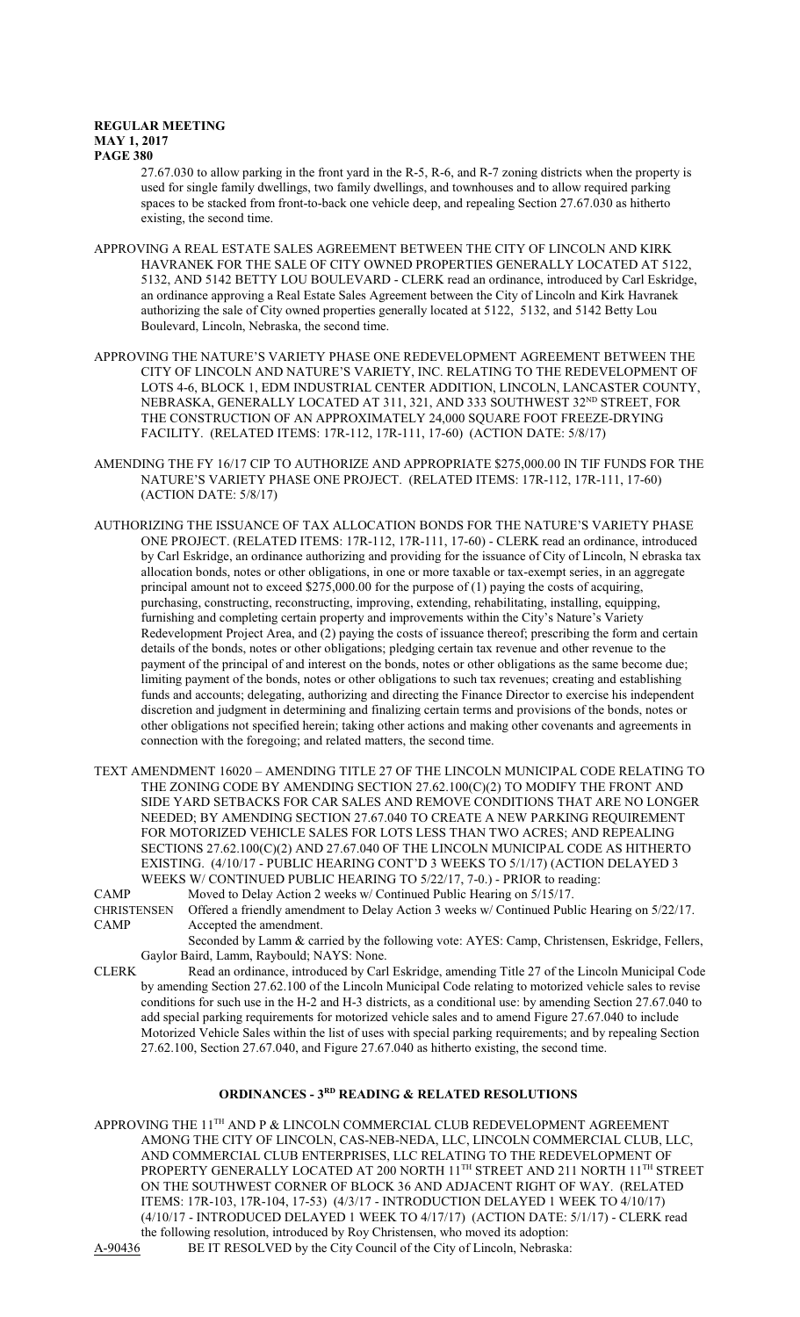27.67.030 to allow parking in the front yard in the R-5, R-6, and R-7 zoning districts when the property is used for single family dwellings, two family dwellings, and townhouses and to allow required parking spaces to be stacked from front-to-back one vehicle deep, and repealing Section 27.67.030 as hitherto existing, the second time.

- APPROVING A REAL ESTATE SALES AGREEMENT BETWEEN THE CITY OF LINCOLN AND KIRK HAVRANEK FOR THE SALE OF CITY OWNED PROPERTIES GENERALLY LOCATED AT 5122, 5132, AND 5142 BETTY LOU BOULEVARD - CLERK read an ordinance, introduced by Carl Eskridge, an ordinance approving a Real Estate Sales Agreement between the City of Lincoln and Kirk Havranek authorizing the sale of City owned properties generally located at 5122, 5132, and 5142 Betty Lou Boulevard, Lincoln, Nebraska, the second time.
- APPROVING THE NATURE'S VARIETY PHASE ONE REDEVELOPMENT AGREEMENT BETWEEN THE CITY OF LINCOLN AND NATURE'S VARIETY, INC. RELATING TO THE REDEVELOPMENT OF LOTS 4-6, BLOCK 1, EDM INDUSTRIAL CENTER ADDITION, LINCOLN, LANCASTER COUNTY, NEBRASKA, GENERALLY LOCATED AT 311, 321, AND 333 SOUTHWEST 32 ND STREET, FOR THE CONSTRUCTION OF AN APPROXIMATELY 24,000 SQUARE FOOT FREEZE-DRYING FACILITY. (RELATED ITEMS: 17R-112, 17R-111, 17-60) (ACTION DATE: 5/8/17)
- AMENDING THE FY 16/17 CIP TO AUTHORIZE AND APPROPRIATE \$275,000.00 IN TIF FUNDS FOR THE NATURE'S VARIETY PHASE ONE PROJECT. (RELATED ITEMS: 17R-112, 17R-111, 17-60) (ACTION DATE: 5/8/17)
- AUTHORIZING THE ISSUANCE OF TAX ALLOCATION BONDS FOR THE NATURE'S VARIETY PHASE ONE PROJECT. (RELATED ITEMS: 17R-112, 17R-111, 17-60) - CLERK read an ordinance, introduced by Carl Eskridge, an ordinance authorizing and providing for the issuance of City of Lincoln, N ebraska tax allocation bonds, notes or other obligations, in one or more taxable or tax-exempt series, in an aggregate principal amount not to exceed \$275,000.00 for the purpose of (1) paying the costs of acquiring, purchasing, constructing, reconstructing, improving, extending, rehabilitating, installing, equipping, furnishing and completing certain property and improvements within the City's Nature's Variety Redevelopment Project Area, and (2) paying the costs of issuance thereof; prescribing the form and certain details of the bonds, notes or other obligations; pledging certain tax revenue and other revenue to the payment of the principal of and interest on the bonds, notes or other obligations as the same become due; limiting payment of the bonds, notes or other obligations to such tax revenues; creating and establishing funds and accounts; delegating, authorizing and directing the Finance Director to exercise his independent discretion and judgment in determining and finalizing certain terms and provisions of the bonds, notes or other obligations not specified herein; taking other actions and making other covenants and agreements in connection with the foregoing; and related matters, the second time.
- TEXT AMENDMENT 16020 AMENDING TITLE 27 OF THE LINCOLN MUNICIPAL CODE RELATING TO THE ZONING CODE BY AMENDING SECTION 27.62.100(C)(2) TO MODIFY THE FRONT AND SIDE YARD SETBACKS FOR CAR SALES AND REMOVE CONDITIONS THAT ARE NO LONGER NEEDED; BY AMENDING SECTION 27.67.040 TO CREATE A NEW PARKING REQUIREMENT FOR MOTORIZED VEHICLE SALES FOR LOTS LESS THAN TWO ACRES; AND REPEALING SECTIONS 27.62.100(C)(2) AND 27.67.040 OF THE LINCOLN MUNICIPAL CODE AS HITHERTO EXISTING. (4/10/17 - PUBLIC HEARING CONT'D 3 WEEKS TO 5/1/17) (ACTION DELAYED 3 WEEKS W/ CONTINUED PUBLIC HEARING TO 5/22/17, 7-0.) - PRIOR to reading:

CAMP Moved to Delay Action 2 weeks w/ Continued Public Hearing on 5/15/17.<br>CHRISTENSEN Offered a friendly amendment to Delay Action 3 weeks w/ Continued Publ

Offered a friendly amendment to Delay Action 3 weeks w/ Continued Public Hearing on 5/22/17. CAMP Accepted the amendment.

Seconded by Lamm & carried by the following vote: AYES: Camp, Christensen, Eskridge, Fellers, Gaylor Baird, Lamm, Raybould; NAYS: None.

CLERK Read an ordinance, introduced by Carl Eskridge, amending Title 27 of the Lincoln Municipal Code by amending Section 27.62.100 of the Lincoln Municipal Code relating to motorized vehicle sales to revise conditions for such use in the H-2 and H-3 districts, as a conditional use: by amending Section 27.67.040 to add special parking requirements for motorized vehicle sales and to amend Figure 27.67.040 to include Motorized Vehicle Sales within the list of uses with special parking requirements; and by repealing Section 27.62.100, Section 27.67.040, and Figure 27.67.040 as hitherto existing, the second time.

## **ORDINANCES - 3RD READING & RELATED RESOLUTIONS**

APPROVING THE  $11^{\text{TH}}$  AND P & LINCOLN COMMERCIAL CLUB REDEVELOPMENT AGREEMENT AMONG THE CITY OF LINCOLN, CAS-NEB-NEDA, LLC, LINCOLN COMMERCIAL CLUB, LLC, AND COMMERCIAL CLUB ENTERPRISES, LLC RELATING TO THE REDEVELOPMENT OF PROPERTY GENERALLY LOCATED AT 200 NORTH 11<sup>th</sup> STREET AND 211 NORTH 11<sup>th</sup> STREET ON THE SOUTHWEST CORNER OF BLOCK 36 AND ADJACENT RIGHT OF WAY. (RELATED ITEMS: 17R-103, 17R-104, 17-53) (4/3/17 - INTRODUCTION DELAYED 1 WEEK TO 4/10/17) (4/10/17 - INTRODUCED DELAYED 1 WEEK TO 4/17/17) (ACTION DATE: 5/1/17) - CLERK read the following resolution, introduced by Roy Christensen, who moved its adoption:<br>A-90436 BE IT RESOLVED by the City Council of the City of Lincoln, Nebraska: BE IT RESOLVED by the City Council of the City of Lincoln, Nebraska: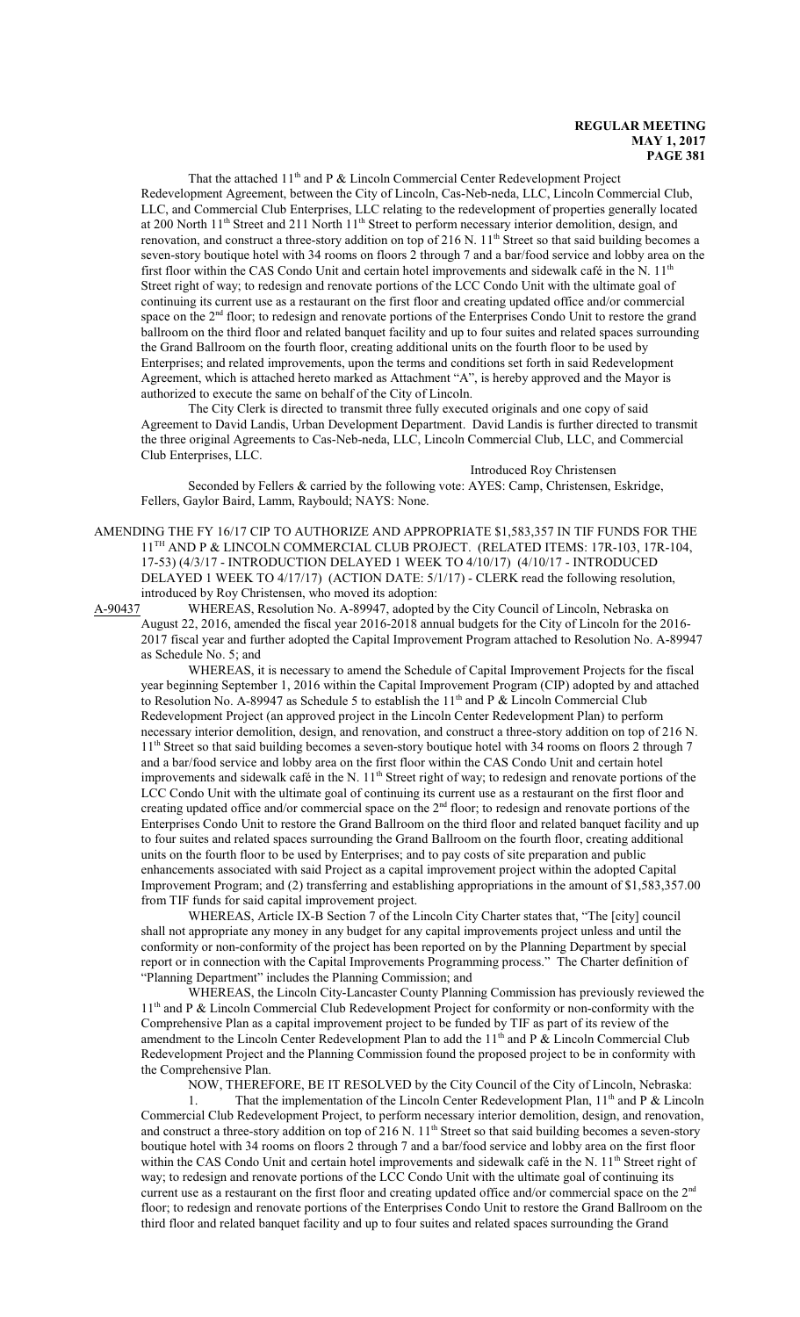That the attached  $11<sup>th</sup>$  and P & Lincoln Commercial Center Redevelopment Project Redevelopment Agreement, between the City of Lincoln, Cas-Neb-neda, LLC, Lincoln Commercial Club, LLC, and Commercial Club Enterprises, LLC relating to the redevelopment of properties generally located at 200 North 11<sup>th</sup> Street and 211 North 11<sup>th</sup> Street to perform necessary interior demolition, design, and renovation, and construct a three-story addition on top of 216 N. 11<sup>th</sup> Street so that said building becomes a seven-story boutique hotel with 34 rooms on floors 2 through 7 and a bar/food service and lobby area on the first floor within the CAS Condo Unit and certain hotel improvements and sidewalk café in the N.  $11<sup>th</sup>$ Street right of way; to redesign and renovate portions of the LCC Condo Unit with the ultimate goal of continuing its current use as a restaurant on the first floor and creating updated office and/or commercial space on the 2<sup>nd</sup> floor; to redesign and renovate portions of the Enterprises Condo Unit to restore the grand ballroom on the third floor and related banquet facility and up to four suites and related spaces surrounding the Grand Ballroom on the fourth floor, creating additional units on the fourth floor to be used by Enterprises; and related improvements, upon the terms and conditions set forth in said Redevelopment Agreement, which is attached hereto marked as Attachment "A", is hereby approved and the Mayor is authorized to execute the same on behalf of the City of Lincoln.

The City Clerk is directed to transmit three fully executed originals and one copy of said Agreement to David Landis, Urban Development Department. David Landis is further directed to transmit the three original Agreements to Cas-Neb-neda, LLC, Lincoln Commercial Club, LLC, and Commercial Club Enterprises, LLC.

Introduced Roy Christensen

Seconded by Fellers & carried by the following vote: AYES: Camp, Christensen, Eskridge, Fellers, Gaylor Baird, Lamm, Raybould; NAYS: None.

AMENDING THE FY 16/17 CIP TO AUTHORIZE AND APPROPRIATE \$1,583,357 IN TIF FUNDS FOR THE 11<sup>TH</sup> AND P & LINCOLN COMMERCIAL CLUB PROJECT. (RELATED ITEMS: 17R-103, 17R-104, 17-53) (4/3/17 - INTRODUCTION DELAYED 1 WEEK TO 4/10/17) (4/10/17 - INTRODUCED DELAYED 1 WEEK TO 4/17/17) (ACTION DATE: 5/1/17) - CLERK read the following resolution, introduced by Roy Christensen, who moved its adoption:

A-90437 WHEREAS, Resolution No. A-89947, adopted by the City Council of Lincoln, Nebraska on August 22, 2016, amended the fiscal year 2016-2018 annual budgets for the City of Lincoln for the 2016- 2017 fiscal year and further adopted the Capital Improvement Program attached to Resolution No. A-89947 as Schedule No. 5; and

WHEREAS, it is necessary to amend the Schedule of Capital Improvement Projects for the fiscal year beginning September 1, 2016 within the Capital Improvement Program (CIP) adopted by and attached to Resolution No. A-89947 as Schedule 5 to establish the 11<sup>th</sup> and P & Lincoln Commercial Club Redevelopment Project (an approved project in the Lincoln Center Redevelopment Plan) to perform necessary interior demolition, design, and renovation, and construct a three-story addition on top of 216 N. 11<sup>th</sup> Street so that said building becomes a seven-story boutique hotel with 34 rooms on floors 2 through 7 and a bar/food service and lobby area on the first floor within the CAS Condo Unit and certain hotel improvements and sidewalk café in the N. 11<sup>th</sup> Street right of way; to redesign and renovate portions of the LCC Condo Unit with the ultimate goal of continuing its current use as a restaurant on the first floor and creating updated office and/or commercial space on the  $2<sup>nd</sup>$  floor; to redesign and renovate portions of the Enterprises Condo Unit to restore the Grand Ballroom on the third floor and related banquet facility and up to four suites and related spaces surrounding the Grand Ballroom on the fourth floor, creating additional units on the fourth floor to be used by Enterprises; and to pay costs of site preparation and public enhancements associated with said Project as a capital improvement project within the adopted Capital Improvement Program; and (2) transferring and establishing appropriations in the amount of \$1,583,357.00 from TIF funds for said capital improvement project.

WHEREAS, Article IX-B Section 7 of the Lincoln City Charter states that, "The [city] council shall not appropriate any money in any budget for any capital improvements project unless and until the conformity or non-conformity of the project has been reported on by the Planning Department by special report or in connection with the Capital Improvements Programming process." The Charter definition of "Planning Department" includes the Planning Commission; and

WHEREAS, the Lincoln City-Lancaster County Planning Commission has previously reviewed the 11<sup>th</sup> and P & Lincoln Commercial Club Redevelopment Project for conformity or non-conformity with the Comprehensive Plan as a capital improvement project to be funded by TIF as part of its review of the amendment to the Lincoln Center Redevelopment Plan to add the 11<sup>th</sup> and P & Lincoln Commercial Club Redevelopment Project and the Planning Commission found the proposed project to be in conformity with the Comprehensive Plan.

NOW, THEREFORE, BE IT RESOLVED by the City Council of the City of Lincoln, Nebraska:

1. That the implementation of the Lincoln Center Redevelopment Plan, 11<sup>th</sup> and P & Lincoln Commercial Club Redevelopment Project, to perform necessary interior demolition, design, and renovation, and construct a three-story addition on top of 216 N. 11<sup>th</sup> Street so that said building becomes a seven-story boutique hotel with 34 rooms on floors 2 through 7 and a bar/food service and lobby area on the first floor within the CAS Condo Unit and certain hotel improvements and sidewalk café in the N. 11<sup>th</sup> Street right of way; to redesign and renovate portions of the LCC Condo Unit with the ultimate goal of continuing its current use as a restaurant on the first floor and creating updated office and/or commercial space on the 2<sup>nd</sup> floor; to redesign and renovate portions of the Enterprises Condo Unit to restore the Grand Ballroom on the third floor and related banquet facility and up to four suites and related spaces surrounding the Grand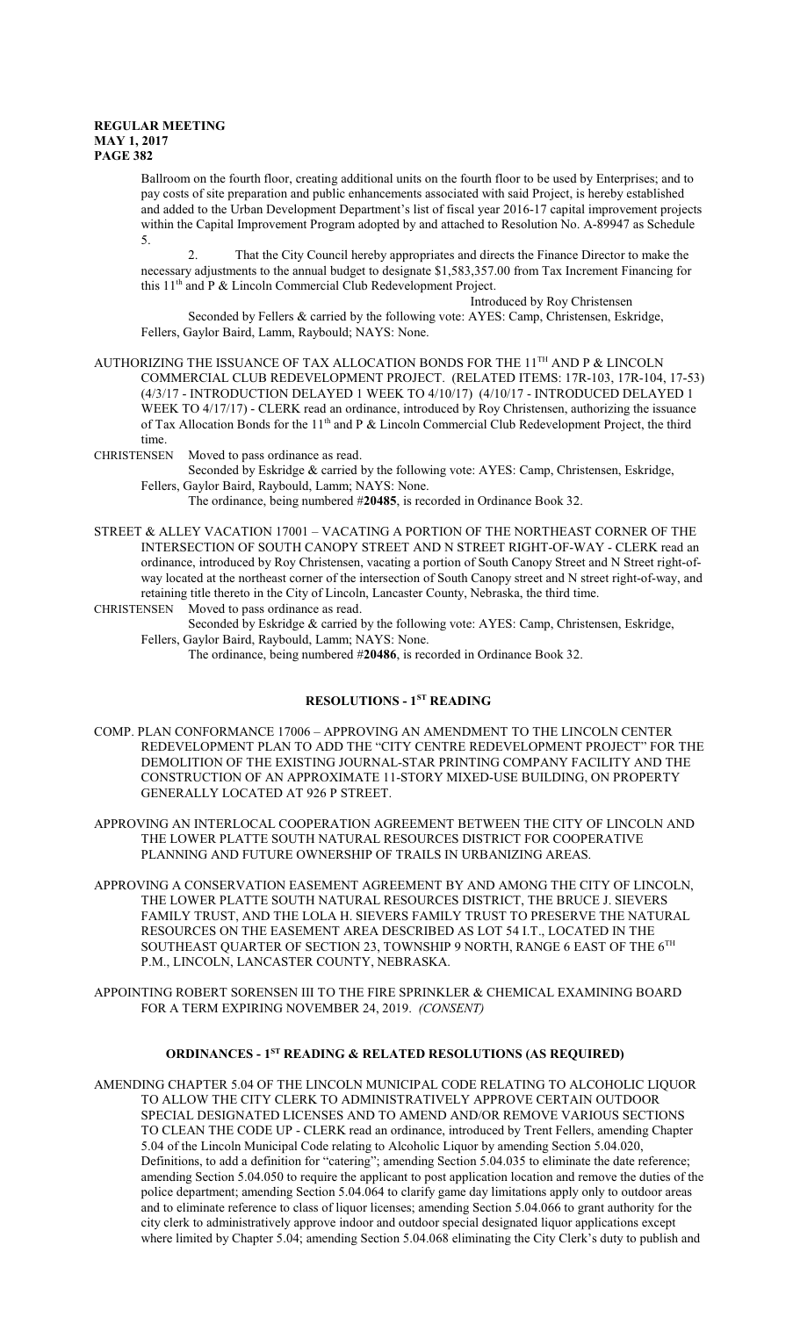Ballroom on the fourth floor, creating additional units on the fourth floor to be used by Enterprises; and to pay costs of site preparation and public enhancements associated with said Project, is hereby established and added to the Urban Development Department's list of fiscal year 2016-17 capital improvement projects within the Capital Improvement Program adopted by and attached to Resolution No. A-89947 as Schedule 5.

2. That the City Council hereby appropriates and directs the Finance Director to make the necessary adjustments to the annual budget to designate \$1,583,357.00 from Tax Increment Financing for this 11<sup>th</sup> and P & Lincoln Commercial Club Redevelopment Project.

Introduced by Roy Christensen

Seconded by Fellers & carried by the following vote: AYES: Camp, Christensen, Eskridge, Fellers, Gaylor Baird, Lamm, Raybould; NAYS: None.

AUTHORIZING THE ISSUANCE OF TAX ALLOCATION BONDS FOR THE 11<sup>th</sup> AND P & LINCOLN COMMERCIAL CLUB REDEVELOPMENT PROJECT. (RELATED ITEMS: 17R-103, 17R-104, 17-53) (4/3/17 - INTRODUCTION DELAYED 1 WEEK TO 4/10/17) (4/10/17 - INTRODUCED DELAYED 1 WEEK TO 4/17/17) - CLERK read an ordinance, introduced by Roy Christensen, authorizing the issuance of Tax Allocation Bonds for the 11<sup>th</sup> and P & Lincoln Commercial Club Redevelopment Project, the third time.

CHRISTENSEN Moved to pass ordinance as read.

Seconded by Eskridge & carried by the following vote: AYES: Camp, Christensen, Eskridge, Fellers, Gaylor Baird, Raybould, Lamm; NAYS: None.

The ordinance, being numbered #**20485**, is recorded in Ordinance Book 32.

- STREET & ALLEY VACATION 17001 VACATING A PORTION OF THE NORTHEAST CORNER OF THE INTERSECTION OF SOUTH CANOPY STREET AND N STREET RIGHT-OF-WAY - CLERK read an ordinance, introduced by Roy Christensen, vacating a portion of South Canopy Street and N Street right-ofway located at the northeast corner of the intersection of South Canopy street and N street right-of-way, and retaining title thereto in the City of Lincoln, Lancaster County, Nebraska, the third time.
- CHRISTENSEN Moved to pass ordinance as read. Seconded by Eskridge & carried by the following vote: AYES: Camp, Christensen, Eskridge,

Fellers, Gaylor Baird, Raybould, Lamm; NAYS: None. The ordinance, being numbered #**20486**, is recorded in Ordinance Book 32.

## **RESOLUTIONS - 1ST READING**

COMP. PLAN CONFORMANCE 17006 – APPROVING AN AMENDMENT TO THE LINCOLN CENTER REDEVELOPMENT PLAN TO ADD THE "CITY CENTRE REDEVELOPMENT PROJECT" FOR THE DEMOLITION OF THE EXISTING JOURNAL-STAR PRINTING COMPANY FACILITY AND THE CONSTRUCTION OF AN APPROXIMATE 11-STORY MIXED-USE BUILDING, ON PROPERTY GENERALLY LOCATED AT 926 P STREET.

APPROVING AN INTERLOCAL COOPERATION AGREEMENT BETWEEN THE CITY OF LINCOLN AND THE LOWER PLATTE SOUTH NATURAL RESOURCES DISTRICT FOR COOPERATIVE PLANNING AND FUTURE OWNERSHIP OF TRAILS IN URBANIZING AREAS.

- APPROVING A CONSERVATION EASEMENT AGREEMENT BY AND AMONG THE CITY OF LINCOLN, THE LOWER PLATTE SOUTH NATURAL RESOURCES DISTRICT, THE BRUCE J. SIEVERS FAMILY TRUST, AND THE LOLA H. SIEVERS FAMILY TRUST TO PRESERVE THE NATURAL RESOURCES ON THE EASEMENT AREA DESCRIBED AS LOT 54 I.T., LOCATED IN THE SOUTHEAST QUARTER OF SECTION 23, TOWNSHIP 9 NORTH, RANGE 6 EAST OF THE  $6^{\mathrm{TH}}$ P.M., LINCOLN, LANCASTER COUNTY, NEBRASKA.
- APPOINTING ROBERT SORENSEN III TO THE FIRE SPRINKLER & CHEMICAL EXAMINING BOARD FOR A TERM EXPIRING NOVEMBER 24, 2019. *(CONSENT)*

#### **ORDINANCES - 1ST READING & RELATED RESOLUTIONS (AS REQUIRED)**

AMENDING CHAPTER 5.04 OF THE LINCOLN MUNICIPAL CODE RELATING TO ALCOHOLIC LIQUOR TO ALLOW THE CITY CLERK TO ADMINISTRATIVELY APPROVE CERTAIN OUTDOOR SPECIAL DESIGNATED LICENSES AND TO AMEND AND/OR REMOVE VARIOUS SECTIONS TO CLEAN THE CODE UP - CLERK read an ordinance, introduced by Trent Fellers, amending Chapter 5.04 of the Lincoln Municipal Code relating to Alcoholic Liquor by amending Section 5.04.020, Definitions, to add a definition for "catering"; amending Section 5.04.035 to eliminate the date reference; amending Section 5.04.050 to require the applicant to post application location and remove the duties of the police department; amending Section 5.04.064 to clarify game day limitations apply only to outdoor areas and to eliminate reference to class of liquor licenses; amending Section 5.04.066 to grant authority for the city clerk to administratively approve indoor and outdoor special designated liquor applications except where limited by Chapter 5.04; amending Section 5.04.068 eliminating the City Clerk's duty to publish and